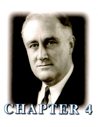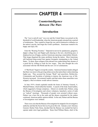# **CHAPTER 4**

**Counterintelligence Between The Wars** 

# **Introduction**

The "war to end all wars" was over and the United States was poised on the threshold of world leadership, when the American people retreated into a period of isolationism. They wanted to forget the war, and its destructive influence on the nation's psyche, and forget the world's problems. Americans wanted to be happy and enjoy life.

Enter the "Roaring Twenties." Depicted in movies by speakeasies, gangsters, dapper college boys and flapper girls dancing to the new, electrifying jazz, it displayed an era of happy, carefree Americans enjoying a materialistic lifestyle. That image disguised the many problems facing the nation. Most Americans still harbored deep-rooted bias against foreigners immigrating to the United States. To them, these refugees from abroad were undercutting their dreams of a good life by willing to work for low wages. They also brought the evils associated with the Old World and the new evil of communism.

A "Red Scare" began to sweep the country. American business leaders alleged that there was more to the growing strikes across the nation than workers desiring higher pay. They accused the foreign "Reds" and anarchists, Bolsheviks, Communists and Socialists of plotting to destroy the American way of life. Hysteria increased. Government leaders said that unless these anarchists were stopped, a Red revolution would subvert America.

In June 1919 a bomb exploded outside the home of Attorney General, A. Mitchell Palmer, which killed the bomber. A search of the body found leaflets, which suggested a foreign conspiracy. Almost six months later, Palmer, using the Bureau of Investigation and citizen volunteers, launched a series of raids on "radical" meetings. Thousands of people were arrested without cause. Palmer was a hero but as the raids and the abuses committed by the raiders continued, American public opinion shifted. In the end, Palmer and the Bureau of Investigation were rebuked.

There were cries that the Bureau of Investigation be stripped of its investigative authority and that the Secret Service be given this role. Instead, a new Attorney General, Harlan Fiske Stone, decided that the Bureau was needed but had to operate under strict legal guidelines. Stone fired William Burns, chief of the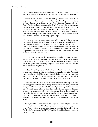Bureau, and abolished the General Intelligence Division, headed by J. Edgar Hoover. Hoover was then made acting director and later director of the Bureau.

Further, after World War I ended, the military did not want to terminate its cryptographic and decoding activities. Working with the Department of State, a Cipher Bureau was established in New York with secret funds provided by State. This bureau became known as the "Black Chamber." Using cooperative liaison contacts in Western Union Telegraph Company and the Postal Telegraph Company, the Black Chamber was given access to diplomatic cable traffic. The Chamber operated until the new Secretary of State, Henry Stimson, withdrew State Department's funding in 1929. The military then transferred the Chamber's functions to the Army Signal Corps.

In the early 1930s, a special committee, led by New York Congressman Hamilton Fish, was authorized by the House of Representatives to investigate communism. After almost a year of study, the committee concluded that the federal intelligence community had no authority to deal with the growing problem of communist activity. The committee recommended that the Department of Justice severely crackdown on communists but the recommendation fell on deaf ears.

In 1934 Congress granted the Bureau of Investigation the power to make arrests but required the Bureau to obtain a warrant from the Judiciary prior to making the arrest. To obtain the warrant, the Bureau was required to show reasonable grounds for suspecting the person to be arrested and the Judiciary had to agree with the grounds.

In 1938, Texas Congressman Martin Dies, who headed a special committee to investigate subversion in the United States, continued to shove the Roosevelt Administration and the FBI to be more active in the investigation of communists and Nazis. The FBI informed Congressman Dies and his committee that it had commenced "building up a system of internal security" since early 1935.

There was an ardent desire by the counterintelligence community to counter this newly perceived threat but the old arguments surfaced as to what government entity would be in charge. President Roosevelt, also feeling the heat from the Dies Committee, directed the creation of the modern federal counterintelligence system. He temporarily solved the mistrust and discord that plagued the counterintelligence community in a series of presidential directives that gave the FBI the mantle of lead agency to investigate and conduct domestic surveillance against individuals and organizations posing a threat to the United States.

Having gained the advantage over the Army's Military Intelligence Division and Navy's Office of Naval Intelligence, Hoover would never waive his primary role. This would have serious consequences when the Office of Strategic Services is formed during World War II and the Central Intelligence Agency is created in 1947.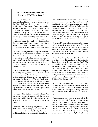# The Corps Of Intelligence Police From 1917 To World War II

During World War I the Intelligence Section. American Expeditionary Force, recommended and the War College Division sanctioned the establishment of the Corps of Intelligence Police. Authority for such action was contained in the provisions of Section II of an Act of Congress (approved 18 May 1917) giving the President the power to increase the Army to meet the national emergency. This Corps of fifty men in the rank of sergeant of infantry was to report for counterespionage duty under the Commanding General, American Expeditionary Force. On 13 August 1917, War Department General Orders officially established the Corps of Intelligence Police.

A French-speaking officer with experience in police work was given the mission of recruiting the men. He traveled to New Orleans and New York City where he advertised in the local newspapers for men who could speak French to do intelligence work in France. He accepted all candidates who could pass the Army physical examination and answer a few simple questions in French.

On 25 November 1917, the Corps of Intelligence Police, fifty strong, arrived in St. Nazaire, France. Some were sent to British Intelligence at Le Havre for further training. The others were assigned to the rear area under the control of General Headquarters or were merged with divisional intelligence sections. The Le Havre Detachment worked at copying British suspect lists and counterespionage summaries and began indexing these lists. This training continued until a short while before the Armistice.

In January 1918, the Corps opened its office in Paris and began work on its central card file, securing names from British, French, and American sources. At the end of the war this file contained some 50,000 names.

The first actual counterespionage work was done at St. Nazaire where enemy agents were reported to be active. Agents apprehended by the Corps of Intelligence Police were immediately turned over to

French authorities for disposition. Civilians were screened, travelers checked, and passports examined. In addition to work of a counterespionage and security nature, the Corps of Intelligence Police also did investigative work for the Department of Criminal Investigation by conducting fraud and graft investigations. Members of the Corps of Intelligence Police were assigned to the American Peace Delegation in Paris. One detachment was assigned to guard President Wilson's residence while he was in France.

In January 1918, authorization was granted to increase the Corps gradually to an eventual strength of 750 men. One year later, there were 405 agents on duty with the American Expeditionary Force. However, the allotted 750 vacancies were never filled because of the Armistice and demobilization of the Corps.

Meanwhile, during the years 1917-1918, the work of the Corps of Intelligence Police in the continental United States was carried out under the Chief of the War College Division, General Staff. On 28 November 1917, the Corps was increased to 300 men, 250 of whom were to work within the United States. In March 1918, with the abolition of the War College Division of the General Staff, the Corps of Intelligence Police was transferred to the control of the Military Intelligence Branch of the Executive Division of the General Staff.

The next increase in strength came in an order from The Adjutant General dated 4 September 1918. This was deemed necessary because of the rapid increase in the number of investigations being conducted throughout the United States and the territorial departments.

However, these goals were never reached, for by January 1920, of a total of 600 men who had been on duty in the Corps of Intelligence Police, only 18 remained. This caused serious concern among those who saw the menace of failing to provide a permanent place for the Corps of Intelligence Police in the organization of the Army. Many saw the necessity for such personnel, in New York, Washington, and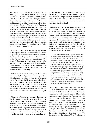the Western and Southern Departments for investigation and guard duties of a strictly confidential nature. Therefore, authority was requested to detail not more than 24 sergeants of the duly authorized organizations of the Army for intelligence service. These were to be evenly divided among the Eastern, Western, and Southern Departments, and the District of Columbia. The Adjutant General granted the authority for such action on 7 February 1920. These men were to be subject to the orders of the Department Commander in whose territory they were assigned, except for the six men on duty with the Western Department who were to be subject to the orders of the Director of Military Intelligence. However, this order did not create a permanent status for the Corps of Intelligence Police in the organization of the Army.

A series of memoranda, prepared by the Director of Intelligence, pointed out the necessity for such a body of men, requested a permanent organization for the Corps of Intelligence Police, and set forth the quotas for the Corps Areas and Departments. The quota of 45 sergeants allotted by the resultant order was not as great as had been desired by the various Corps Areas and Departments, but it did give the Corps of Intelligence Police a permanent foothold in the organization of the Army.

Duties of the Corps of Intelligence Police were outlined by the War Department in the spring of 1921. All individuals who might be suspected of operating against the Military Establishment were to be closely observed. In addition, the Corps of Intelligence Police was directed to report on radical activities in political and industrial fields. This was a tremendous assignment for a handful of men whose number was reduced to a mere 30 in 1922 when the Army was cut to 125,000 men.

The policy of isolationism that swept the country at that time made it impossible to increase the Army in general and the Corps of Intelligence Police in particular. Although there was important work for the Corps, the policy of the Army prohibited the Corps of Intelligence Police from growing large enough to control subversive activity or directly affecting, the Military Establishment. However, in 1926, when it became clear that the Corps of Intelligence Police would have to expand rapidly

in an emergency, a "Mobilization Plan" for the Corps was drawn up. The initial strength of the Corps was set at 250 men with provision for increments as the mobilization progressed. The functions of the personnel were outlined more clearly, and a promotion plan formulated.

Despite the best intentions of the men who were aware of the real value of the Corps of Intelligence Police, a further decrease occurred in 1926, which brought the total to 28; and in November 1933, strength was decreased to 15. This curtailment of essential personnel was effected as an economy move in the days of the depression. It was argued that the grades held by the men were too high for the clerical duties they were performing. It was even suggested that other military personnel or civilian employees replace the Corps of Intelligence Police in certain localities. To this, the Philippine Department answered:

"This Department presents a special case in that its distance from the homeland, its close proximity to World Powers, its heterogeneous mixture of foreigners, and the uncertainty of the future, all tend to emphasize the importance of keeping the Commanding General fully informed at all times. In order to perform this important duty, the scope of the organization charged with its execution is wide and varied...All of the present members of the Corps of Intelligence Police are men of proven ability, loyalty, and experience... Were any of these agents replaced by civilians or military personnel, it would confront this office with the necessity of building a new organization and discarding one which has reached its present state of efficiency after years of intelligence effort and experience."

From 1934 to 1939, with but a single increase of one man authorized for work in the Philippine Department, the Corps of Intelligence Police existed precariously with its small quota. Meanwhile, continued reports indicated that Japanese and Nazi activity were on the upswing in the Panama, Hawaiian, and Philippine Departments. Finally, in June, 1939, President Franklin D. Roosevelt issued a proclamation which stated that the control of all matters of an espionage, counterespionage, and sabotage nature would be handled by the Federal Bureau of Investigation of the Department of Justice, the Military Intelligence Division of the War Department, and the Office of Naval Intelligence of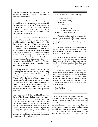the Navy Department. The Directors of these three agencies were ordered to function as a committee to coordinate their activities.

One year later, the chiefs of the three agencies involved drew up an agreement as to jurisdiction, with particular emphasis given to foreign operations. Further revision of this agreement, defining clearly the work to be handled by each agency, was made in February 1942. This has become known as the Delimitations Agreement of 1942.

Expansion of the Corps began almost immediately. In June 1940, authorization was granted to bring in an additional 26 men. In December 1940, the allotment was increased to 188 men. Although some difficulty was experienced in recruiting, because of a lack of definite standards of qualifications, it was soon established that only men of the highest integrity with a high school education or better would be selected. On 20 February 1941 a total of 288 men was reached. A total of 18 agents was allotted to the important Panama Canal Department. By 31 May the over-all total swelled to 513, and by 17 February 1942 the Panama Canal Department alone could count 59 men on duty there.

In January 1941, the office of the Chief of the Corps of Intelligence Police-Sub-Section, Investigating Section, Counter Intelligence Branch, Military Intelligence Division, was established. On 24 February 1941, the Corps of Intelligence Police Investigators School became operational in the Army War College and, after two classes, was moved to Chicago. By April, Technical Manual 30-215 (Tentative) was published, thereby creating a definite and consistent procedure of training for all personnel in the Corps.

On 6 December 1941, the eve of Pearl Harbor, the Corps of Intelligence Police was a permanent organization of the Army, organized under the direction of the Assistant Chief of Staff, G-2, General Staff. It had authorization for 513 enlisted men, and had begun the task of expanding its work under the policies set forth in the Delimitations Agreement. Suddenly the days of begging for men and money had come to an end. The problem was now to grow as rapidly as possible, procure and train men, and do a professional job simultaneously.

### **Memo to Director of Naval Intelligence**

United States Asiatic Fleet U.S.S. Huron, Flagship Manila, P.I. 24December 1923

From: Commander in Chief Director of Naval Intelligence To: Orange<sup>1</sup> Radio Code Subject:

1. Information has been received from a reliable military source that considerable progress has been made in the Department of Military Intelligence, Washington, in breaking certain Orange Radio Codes

2. If the above information is true, the Commander in Chief considers it of vital importance that all such data be available in his SECRET files prior to any emergency that may arise.

3. Should the above information be sent to the Commander in Chief, and if the Director of Naval Intelligence considers it advisable, the mailing envelope will be kept sealed and the seal unbroken until such conditions arise that make it advisable to open it.

4. In connection with the above, it is considered highly desirable that an officer who has completed the Orange language course be made available for duty in the Asiatic Fleet. One such officer is at present on duty on board the flagship, but he is at present under orders to the United States, and his departure will leave no one who is able to speak or translate Orange language.

Thos. Washington Army's Domestic Intelligence

Under the terms of the National Defense Act of 1920, the six territorial departments of the Army within the continental limits of the United States, were superceded for purposes of administration, training and tactical control by nine corps areas. Likewise, for inspection, maneuvers, war mobilization and demobilization, these same corps areas were further grouped into three larger army areas with the commanding officers and staffs for them to be named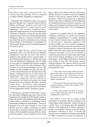from time to time only as necessity arose. The overseas territorial commands, however, continued to remain officially designated as departments.

Subsequent War Department orders also required that there should be an "Assistant Chief of Staff for Military Intelligence" included on the staff of the Commanding General of each Corps Area and Department. This, of course, would have been a particularly appropriate time for the War Department authorities to describe in detail the specific duties assigned to these Corps Area and Department Military Intelligence officers, as well as to establish beyond any doubt their precise relationship to the Assistant Chief of Staff G-2 in Washington. Unfortunately for all concerned, though, these two important steps were not properly taken.

Both the MID officials and the Corps Area Intelligence officer soon felt the need for additional information to provide the latter with effective guidance in the conduct of their assigned duties. It was finally decided, therefore, to furnish each Corps Area and Department Headquarters with six hastily revised copies of a pamphlet that had been prepared during 1918 for use by the field intelligence offices in order to form a divisional intelligence service. This obsolete wartime pamphlet was given the new title of "Provisional Instructions for the Operations of the Military Intelligence Service in Corps Areas and Departments" but it still contained a number of references to approved wartime methods for investigating individuals and groups who might become involved in domestic disorders within the United States. Its issuance under peacetime conditions thus plainly presaged future difficulties for the departmental military intelligence agency.

Following the conclusion of World War I, most of the experienced intelligence personnel within the War Department felt strongly that MID should continue to follow the growth of all significant radical movements either at home or abroad, so as to discharge fully its basic military intelligence responsibilities.<sup>2</sup> This action appeared to be even more essential in view of the possible need for a sudden commitment of Federal troops in the event of major domestic disturbance<sup>3</sup> and because of the constantly increasing efforts by various extremist groups to subvert members of the armed

forces. There was no desire on the part of these same officials; however, to examine in any way the political beliefs or other private opinions held by military personnel.<sup>4</sup> That was one reason why an agreement had been concurred in calling for the War Department to relinquish all previous activities connected with military graft and fraud investigations and to turn the entire function without delay over to the Department of the Justice.<sup>5</sup>

Despite every possible effort by the department intelligence authorities to execute their domestic intelligence responsibilities in a manner calculated to avoid outside criticism, they were steadily forced on the defensive. Important segments of the American public were in no mood to countenance any military intelligence activities which they could construe as being an intrusion into their own private affairs, while left wing socialist and pacifist organs remained constantly on the alert to publish in sensational style whatever evidence that came to light point toward military intelligence involvement in such matters.<sup>6</sup> In the MID annual report for the fiscal year ending 30 June 1921, the military security mission assigned to the Negative Branch was most carefully defined as consisting only of the following non-operational tasks:

1. Observation of movements within the United States whose object is the overthrow by violence of the government of the United States, or the subversion of the loyalty of the personnel of the military establishment.

2. Observation of the activities based on foreign countries the object of which is the overthrow of the United States by force.

3. Study of the measures necessary for carrying out the counter-espionage service in the military establishment in time of war."7

The problem of how best to acquire needed information on important radical movements in the United States during peacetime, without stirring up a public furor or encroaching upon the established authority of the Department of Justice, continued to remain an exceedingly vexatious one for the military intelligence authorities to solve. It already had become clearly evident that it no longer be practicable for MID to perform any actual investigations of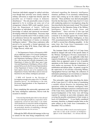American individuals engaged in radical activities, even though their activities were closely related to military subversion or might bear directly upon the possible use of Federal troops in domestic disturbances.<sup>8</sup> The only practicable course of action appeared to lie in working out some sort of an arrangement wherein MID could regularly receive from the Department of Justice "sufficient information on individuals to enable it to have full knowledge of radical and interracial movements" developing within the United States. Necessary steps were taken toward the end of 1920, to initiate a series of conferences between the responsible officials of MID and the Department of Justice on domestic intelligence matters.<sup>9</sup> When these exploratory talks proved to be successful, a formal agreement was jointly signed by Maj. W.W. Hicks, Chief, MI4 and J. Edgar Hoover, which said:

1. The Department of Justice will transmit to MID eleven additional copies of its General Intelligence Bulletin, for distribution to each of the Corps Area and Department Intelligence Officers of the Army. Also, after having been officially designated to the Department of Justice by MID, these same Corps Area and Department of Intelligence officers will be granted full access by the Divisional Superintendents of the Department of Justice to their field reports. Such reports, however, are to be examined at the Department of Justice field offices and not removed therefrom by the military intelligence personnel.

2. MID will furnish to the Division of Investigation enough extra copies of its "G-2 Weekly Situation Survey" for distribution to the nine Divisional Superintendents of the Department of Justice in the field.<sup>10</sup>

Upon completing this noteworthy agreement with the Army intelligence authorities, Hoover took the occasion to declare:

"I sincerely hope that the plan which we have devised for a more thorough and effective cooperation will be satisfactorily carried out and if there is any matter which should arise in connection with the arrangements do not hesitate to bring the same to my attention as  $I$ am particularly desirous of establishing a thorough cooperation between our two services."<sup>11</sup>

Although the MID officials did manage in this way to remain for the time being comparatively well-

informed regarding the domestic intelligence situation, problems of an extremely embarrassing nature kept coming up on the subject at frequent intervals. These problems were derived principally from the fact that many of the Corps Area G-2's were still conducting undercover investigations along the lines described in their previously issued "Provisional" Instructions for the Operation being of the Military Intelligence Service in Corps Areas and Departments." Since activities of this type had already caused a large amount of adverse public comment to be directed against the United States Army, the Director of Military Intelligence, in June 1922, secured permission from the Office of the Chief of Staff to rescind that offending pamphlet. At the same time, the Corps Area Commanders were specifically instructed, as follows:

The Assistant Chiefs of Staff, G-2 of Corps Areas should be charged with such of the specific duties of the Military Intelligence Division enumerated in paragraph 9, AR 10-15, as are applicable within their respective boundaries. They should be required to make studies from an opponent's point of view of possible operations on the frontier contiguous to their areas, as such studies are necessary for the formulation of mobilization and defense plans. In general, except for the supervision of all activities concerning Military Topographical Surveys and Maps, the collection of information pertaining to our own territory is a function of staff sections or branches other then G-2.<sup>12</sup>

This noticeably vague letter describing the duties of the Corps Area G-2's fell far short of constituting a suitable official directive for delimiting their operations within the domestic intelligence field. Questionable intelligence practices continued in most of the Corps Areas, especially because all the higher tactical headquarters of the Army were still being required to maintain an up-to-date emergency plan covering the possible commitment of their troops in local civil disturbances.<sup>13</sup> It was finally considered necessary, therefore, to dispatch another letter on the same subject to the Corps Area Commanders, in December 1922 as follows:

The Secretary of War is much concerned at reports from time to time of the activities of intelligence officers in the United States. It is obvious that the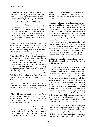American people are very sensitive with regard to any military interference in their affairs. Harmless and even readily justifiable inquiries arouse suspicion and opponents of the Army are very apt to quote such acts as forms of Russian or Prussian military supervision. During the World War it became necessary to investigate individuals, groups and corporations.... All investigations ceased shortly after the Armistice but the general idea was kept alive by the seeking of information preparatory to the drafting of the various local War Plans White. The result is that in the minds of civilians and those of many officers as well, the word "intelligence" is associated with the investigations and inquiries mentioned above.<sup>14</sup>

While this more strongly worded communication seemed to put across the desired point effectively to the Corps Area G-2's themselves, it failed to solve the problem of curbing activities of the more enthusiastic intelligence officers at post, camps and stations, or members of the Military Intelligence Section of the Officers Reserve Corps (M.I. Reserve) who were sponsoring semi-private investigations of radical groups on their own. As long as these individuals kept operating, it probably would be only a matter of time when one of them would undertake some embarrassing project and put military intelligence right back on the front pages of the socalled liberal press. An incident of this sort did take place, derived from a circular letter written by 1<sup>st</sup> Lt. W.D. Long, Post Intelligence Officer, Vancouver Barracks, Washington, and addressed to all "County Sheriffs of the State of Oregon."<sup>15</sup>

Sent out on his own initiative and without the knowledge or sanction of his commanding officer, the letter contained the following highly explosive statements:

The Intelligence Service of the Army has for its primary purpose the surveillance of all organizations or elements hostile or potentially hostile to the government of this country, or who see to over-throw the government by violence.

Among organizations falling under the above heads are radical groups such as the I.W.W., World War Veterans, Union of Russian Workers, Communist Party, Communist Labor Party, One Big Union, Workers International Industrial Union, Anarchists,

Bolsheviki, and such semi-radical organizations as the Socialists, Non-partisan League, Big Four Brotherhoods, and the American Federation of Labor.<sup>16</sup>

As might well be expected, when this circular letter was reproduced in such news organs as The Nation and The Labor Herald, a violent storm erupted. The affair not only received prominent editorial coverage throughout the country but also caused a deluge of protesting letters to reach the President and Secretary of War, many of them signed by politically influential labor leaders.<sup>17</sup> Secretary of War John W. Weeks ordered the immediate relief of Lt. Long from his military duties<sup>18</sup> and instructions dispatched to all Corps Area Commanders for them to take whatever steps were necessary to insure that no intelligence officer would be appointed in the future at any post, camp or station unless the assignment was specifically prescribed under an existing table of organization.<sup>19</sup> Furthermore, whenever a table of organization did call for the assignment of such an intelligence officer, his responsibilities were to be limited strictly to training troops in their combat intelligence duties.<sup>20</sup>

Still remaining at hand, however, was the ticklish problem of curbing unofficial investigative activities on the part of individual M.I. Reserve officers. This matter was soon handled by addressing a War Department letter to all listed members of the M.I. Reserve and forwarding it to them through their respective Corps Area Commanders. The letter first emphasized that the mere fact of an appointment in the M.I. Reserve did not automatically give the individual permission to perform military security investigations and then went on to forbid the actual conduct of any operations of such type unless they had been directly authorized by the War Department. It also warned each M.I. Reserve officer against taking any personal advantage of his military commission to promote some unofficial investigation in which he might be privately engaged.<sup>21</sup>

These various strictures on domestic intelligence activities were originally applied with equal force both within the overseas Departments and the Corps Areas. It was not long, though, before the intelligence officials of the overseas departments started to complain that they were being seriously hindered by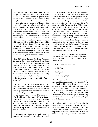them in the execution of their primary missions. For example, on 16 February 1924, the Assistant Chief of Staff G-2, Hawaiian Department, protested that owning to the peculiar racial conditions existing throughout his area and the absence of any other governmental agency capable of keeping him properly informed about the domestic situation, it was necessary for him to carry out investigations similar to those described in the recently rescinded War Department countersubversive pamphlet. He requested permission, therefore, to continue maintaining "the close watch and supervision that is now being kept on our alien and other racial groups" in Hawaii.<sup>22</sup> Despite the admitted special conditions in his area, the MID authorities chose to reply to him most indefinitely as follows: "You must appreciate that both the letter and spirit of the recent instructions are opposed to investigation activities by military authorities and contemplate them only when absolutely necessary in the interest of national defense or when civilian agencies do not function."23

The G-2's of the Panama Canal and Philippine Departments likewise expressed themselves as being thoroughly dissatisfied with the new domestic intelligence situation. The former commented that "a G-2 should be able to give warning of approaching trouble and not wait until trouble starts to find out what it is all about," while the latter felt that in the Philippine area it was "essential that the G-2 be fully informed of the political situation at all times and to do this it is necessary to carry on a modified form of espionage. $24$ 

On 8 March 1924, the Assistant Chief of Staff G-2, Sixth Corps Area, finally made the rather telling point that he could hardly be expected to devise a suitable counterespionage system for his command under the existing War Department Mobilization Plan unless he was granted access to some effective form of official guidance in the matter. When he further requested that the rescinded provisional instruction pamphlet be reissued to him for such purpose, the action was approved by the Deputy Chief of Staff but only with the proviso that all the returned copies would be clearly stamped "To Be Used Solely in the Preparation of War Plans."25

A discouraging climax to the entire postwar domestic intelligence effort occurred early in April 1925. By the time it had become completely apparent to Col. (later Brig. Gen.) James H. Reeves, the Assistant Chief of Staff G-2, War Department General Staff<sup>26</sup>, that MID was not receiving enough information under the approved system to fulfill its assigned military security responsibilities for developing the War Department General Mobilization Plan. He believed that the Corps Area Commanders should again be required to forward periodic reports to the War Department "relative to groups and organizations which might be involved in internal disorders or in aiding an enemy." To accomplish this action, he had a letter drafted in MID for dispatch to all the major unit commanders that slightly modified the restrictions that were already in force covering the collection of such information. When this proposed letter was submitted to the Chief of Staff for his approval, it came back with the following unfavorable notation inscribed on it:

**DISAPPROVED:** G-2 in liaison with Department of Justice should keep in good touch with general situation without calling on Corps Area Commanders.

By order of the Secretary of War

/s/ D.E. Nolan

D.E. NOLAN Major General Deputy Chief of Staff<sup>27</sup>

A marked deterioration in the performance of basic counterintelligence responsibilities within MID was now plainly evident, with irresistible pressures generated by a hostile public opinion having forced the departmental military intelligence authorities to adopt an essentially negative approach to the whole problem. During 1927, 1928, and 1929, therefore, with reference to domestic intelligence, the following carefully worded paragraph appeared as a regular part of the G-2 Annual Report:

The collection of information by G-2 regarding the radical situation in the United States is confined to that which appears in the public press. The information collected is studied in connection with the possible effect of the radical situation upon the execution of any existing or proposed war plans. It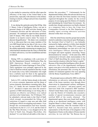is also studied in connection with the effect upon the efficiency of the Army of the United States at the present time, especially with reference to the military training in schools, colleges and activities of pacifists and radicals.<sup>28</sup>

It was during this particular period that M/Sgt. John J. Mauer, Corps of Intelligence Police, was put in personal charge of all MID activities bearing upon Communist activities and the subversion of Army personnel. He continued to supervise these operations until 18 January 1943, when he was finally forced to transfer to an inactive reserve status "by reason of physical disqualification." His duties were considered to be so ultra-secret that even many members of his own MID branch had no true idea of who was or what he was actually doing. Under his efficient direction, the cellular organization commencing at company level, which had been introduced into the Army in World War I to detect subversives, was first reestablished and then revitalized.

During 1929, in compliance with a provision of the War Department General Mobilization Plan, the MID Operations Branch completed a new "Regulations for Counter Espionage in Time of War." These regulations were promptly approved by the Chief of Staff but with the stipulation that they would be issued only to key field commanders who might have a definite need for them in the appropriate development of their respective mobilization plans.

Early in 1931, with the Nation already in the midst of a severe economic depression and the threat of serious domestic disturbances mounting daily, Brig. Gen. A.T. Smith, the new Assistant Chief of Staff  $G-2<sup>29</sup>$ , decided to reopen once more the sensitive question of MID shortcomings in not being able to maintain an effective surveillance over radical activities in the United states. On 19 February 1931, he submitted a relevant study to the Chief of Staff, which strongly recommended the lifting of all restrictions in regard to corps area and other field intelligence officers investigating such matters. Even though this recommendation had been formally concurred in by the G-1, G-3, G-4, and the Chief of the War Plans Division, it was disapproved by the Chief of Staff, Gen. Douglas MacArthur, who declared "it is not believed advisable at this time to

initiate this procedure."<sup>30</sup> Unfortunately for the departmental military effort, this adverse decision was made just when the first bonus marches were being organized throughout the country for the avowed purpose of converging upon the District of Columbia and intimidating the United States Government. Six months later, though, permission was finally obtained on a temporary basis to have the Corps Area Commanders forward to the War Department a monthly report covering subversive activities detected within their own areas.

After the initial bonus marcher groups had actually started to undertake a mass descent upon Washington, the Assistant Chief of Staff G-2, was belatedly instructed by higher authority to follow their detailed progress. Accordingly, on 25 May 1932, a secret War Department memorandum was sent out to all Corp Area Intelligence Officers directing them to investigate and report regularly concerning "bonus" demonstrations by veterans." At the same time, MID commenced to forward a daily memorandum to the Chief of Staff describing the current status of the bonus marcher situation within the Nation's capital.<sup>31</sup> Because of this intensified intelligence effort, the antisubversive files of the departmental intelligence agency soon grew to be richly productive in valuable information and personnel data covering the large number of Communist agitators who were operating with the Bonus Expeditionary Force (BEF).<sup>32</sup>

The principal sources utilized by MID in collecting information on subversive individuals within the ranks of the bonus marchers were through direct observation by departmental military intelligence personnel, civil police<sup>33</sup> and press reports, and interviews held with cooperative BEF members. Alerted United States Army troop units stationed in or near the District of Columbia also executed a number of special reconnaissance missions and notified MID of the results obtained. The departmental agency thus soon found itself actually acting as an operational intelligence center, with Sergeant Mauer in direct charge. Oddly enough, in this same connection, when the Assistant Chief of Staff G-2, Second Corps Area, queried a local representative of the Division of Investigation of the Department of Justice on the subject of bonus marcher activities, he was told that "the Bureau has no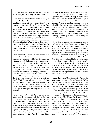jurisdiction over communistic or radical activities and cannot engage in any inquiry concerning same."34

Even after the remarkably successful eviction, on 28-29 July 1932, of the original bonus marcher expedition from the District of Columbia by United States Army elements without firing a single shot, the threat of further domestic disturbances along similar lines continued to remain dangerously acute.<sup>35</sup> As a mater of fact, radical elements had recently launched a concerted subversive drive among the ranks of the Civilian Conservation Corps, which was then in the process of being organized as an antidepression measure by the national administration. Communist-inspired efforts to stir up discontent of major proportions not only continued throughout the life of that particular corps but also were later coupled with a companion effort aimed at personnel of the National Guard.<sup>36</sup>

The United States Army now stood in obvious need of an active and efficient counterintelligence organization centered about MID but it was not long before the powerful influences which were constantly trying to limit activities along such lines again became controlling. Effective 19 March 1934, for example, "in order to relieve the Corps Area G-2's of the burden of preparing monthly subversive reports, that profitable requirement was abruptly terminated.<sup>37</sup> Nevertheless, to overcome the effects of this unfavorable development, an informal practice shortly grew up wherein the Corps Area Assistant Chief of Staff G-2's continued to forward to MID a series of unofficial monthly "Notes on the Subversive Situation."<sup>38</sup> They were severely handicapped in this irregular enterprise, however, since they did not dare to engage in any open investigative activity to support it.

During early 1934, with Japanese-American relations rapidly worsening, both the President and the War Department began to receive a large number of letters claiming information to the effect that the Panama Canal was in immediate danger of sabotage. As might well be expected, these warnings proceeded to set off a complicated train of events involving the departmental military intelligence agency. After a high-level conference on the subject, attended by representatives of the War, Navy and State Departments, the Secretary of War addressed a letter to the Commanding General, Panama Canal department, with information copy to the Governor of the Canal Zone, directing that "no effort be spared to maintain the safety of the Canal from any type of sabotage."<sup>39</sup> A corresponding conference was then held within the Panama area, which mainly resulted in a request to Washington for additional counterespionage funds and the assignment of a qualified specialist to coordinate and advise the Governor relative to military security matters. The Secretary of War duly approved these two requests on 11 April 1934.

In searching for a counterintelligence expert to assist the Governor of the Canal Zone as requested, Brig. Gen. A.T. Smith first consulted with J. Edgar Hoover and W.H. Moran, Chief of the United States Secret Service, hoping that one of these key internal security officials might be able to recommend an acceptable civilian for the position. When neither of them seemed willing to do so, he was then forced to turn to the Officer Reserve Corps list in order to find a qualified person with suitable military intelligence background. After careful reviewing the considerable number of applications he had received, General Smith finally selected Maj. Harry A. Taylor, Infantry Reserve, for the assignment. Major Taylor was directed to report to Panama without delay, to become the "Intelligence Specialist for the Governor" of the Canal Zone."40

Under the existing "Joint Cooperative Plan for the Defense of the Panama Canal," the G-2 Office, Panama Canal Department, was designated as the "coordinating agency for protective information gathered by the Canal Administration, Army and Navy." Although the American Legation in Panama had not formed a part of this early collection arrangement, the MID officials felt that it should now be brought into the regional intelligence picture just as soon as possible. Hence, the Secretary of War was prevailed upon to direct the Governor of the Canal Zone to reach an agreement with the American Administer in Panama City, which would serve to link the Legation in security matters with the three other parties concerned and thereby insure a maximum coordination of effort for collecting information on Canal Zone protection. The eventual result was the creation of a four-member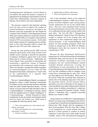Interdepartmental Intelligence Liaison Board to accomplish that particular purpose, composed of appropriate local intelligence representatives from the Canal Zone Administration, American Legation in Panama, Naval District and Army Department.

The pressures caused by that particular sabotage scare not only served to improve the conduct of counterintelligence operations throughout the Panama Canal area measurably but also helped the Assistant Chief of Staff G-2, War Department General Staff, gain requisite authority to reopen the American military Attaché Office in Columbia, which had been closed in 1932 as an economy measure. On the other hand, similar requests for reopening inactive military posts in Peru and Venezuela failed to obtain like approval until 1939 and 1940, respectively.

During the same general period, MID received numerous reports from a wide variety of more or less reliable sources claiming to describe the operations of Japanese intelligence agents both in the United States and its overseas territories. Additionally, the Army Signal Corps succeeded in intercepting and translating a significant volume of Japanese governmental and commercial coded messages. There was, therefore, a gradual but notable resurgence of counterintelligence activity within the War Department that finally culminated on 17 April 1939, in the establishment of a separate MID Counterintelligence Branch.

This new Counterintelligence Branch was purposely designed to achieve a better functional concentration for military security activities than had been obtainable under the earlier catchall Operations Branch. For that reason, it was given the more aptly descriptive name of "counterintelligence" in denoting its activities, instead of the less adequate terms of "negative intelligence" or "counterespionage." Initially allocated an officer complement of only one colonel, one lieutenant colonel and one major, the branch was called upon to accomplish the following specific tasks:

1. Plans and regulations for both national and military censorship.

2. Plans and regulations for counterespionage and passport control.

3. Domestic intelligence information.

- 4. Safeguarding of military information.
- 5. Plans and regulations for espionage.<sup>41</sup>

One of the immediate effects of the improved counterintelligence situation in MID was to place a greatly increased emphasis upon issuing proper security instructions for use by the United States Army. This was a most important matter because the current instructions were not only in obvious need of re-codification but also often in actual conflict with each other. The first AR 380-5 "Safeguarding Military Information," dated 19 June 1939, therefore, sought to combine all of the existing rules and regulations on that complicated subject into one concise document. A new counterintelligence field manual was then promptly prepared, which later formed an integral part of the BFM 30 (Military Intelligence) series that was issued to the Army commencing in 1940.

Because the War Department Mobilization Instructions for 1938 had stressed that all subordinate mobilization plans must provide for the immediate institution of military censorship in case of an emergency, the new counterintelligence manual included detailed instructions covering the establishment of such censorship in the field.<sup>42</sup> Censorship planning at the departmental and national level was also expedited in order to complete a joint (Army-Navy) censorship plan by early 1941, which was then approved by the President. While most of the activity within the censorship field continued to remain only in the planning stage prior to the end of the peacetime period, several selected officerspecialists were sent to Bermuda for the purpose of observing British censorship methods and an informal lecture course in military censorship for "certain key officers" was opened at Clarendon, Virginia. Finally, effective 1 September 1941, a separate Censorship Branch was created in MID.

Along with the rest of MID, the Counterintelligence Branch was being sorely handicapped at this time by a constant lack of insufficient and qualified personnel. During June 1940, though, after the assignment of three recent graduates from the Army War College, it was reorganized on a much sounder basis and placed in a better position to conduct an orderly expansion if and when more funds might become available. Early in 1941, the branch also managed to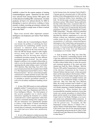establish a school for the express purpose of training counterintelligence agents. Instructors for this school were selected from among former FBI agents and civilian detectives holding ORC commissions. Its initial graduates all had to be utilized directly by MID in attempting to uncover subversives working at Army arsenals or plants executing government contracts but it was later possible to assign some of them to tactical units in the field.<sup>43</sup>

There were several other important counterintelligence developments just before Pearl Harbor, as follows:

1. Shortly after the Counterintelligence Branch was formed, the problem of satisfying the basic requirements for establishing suitable security measures in industrial plants working on manufacturing projects for the Army became acute. Since the FBI had already started to make lengthy surveys along such lines<sup>44</sup>, there was also a compelling need for devising more effective coordination procedures among the many different government agencies involved. Any new system adopted would have to be extended without delay in order to cover the numerous plants and arsenals still operating directly under military control. In October 1939, therefore, Maj. (later Brig. Gen.) W.E. Crist, received instructions from the Assistant Chief of Staff G-2, War Department General Staff, to form a "Plant Protection Section." His new section then promptly commenced to compile pertinent security data with reference to civilian manufacturing facilities engaged in classified or sensitive government contracts, as well as for all military installations handling critical items.

2. In June 1940, MID issued a revised confidential pamphlet entitled "Countersubversive Instructions" to all Army, Corps Area, Department and GHQ Air Force Intelligence Officers. The Chief purpose of this security pamphlet was to clarify earlier instructions regarding the formation of a cellular countersubversive control organization within their respective commands starting at the company level. The new instructions were optimistically intended to achieve a high degree of lateral coordination between this undercover security system and the normal chain of command, a most desirable goal but one which had never before been satisfactorily attained.

3. In view of the impressive combat successes that had recently been gained throughout Western Europe

by the German Army, the Assistant Chief of Staff G-2 became gravely concerned early in 1940 with the problem of providing appropriate security in the rear areas of American military forces operating in the field. He felt that under currently accepted defense doctrines a serious "fifth column" threat could easily develop within these areas, occasioned either by a major domestic disturbance or a full-scale attack from without. For this reason, he had already directed the preparation in MID of a "War Department Counter Fifth Column Plan." This plan, which was submitted to the Chief of Staff on 6 October 1940,<sup>45</sup> not only described the effective organization of a rear area defense without any important commitment of combat troops but also contemplated the timely accumulation of sufficient counterintelligence information in the United States and possessions to cover all areas where such a defense might become necessary. It was given prompt official approval and forwarded to the Corps Area and Department Commanders on 22 October 1940.<sup>46</sup>

4. Early in January 1941, Brig. Gen. (later Maj. Gen.) C.H. Bonesteel, Commanding General, Sixth Corps Area, addressed a letter to the War Department calling attention to certain military steps which should be taken without further delay to insure the security and continued operation of the canal and locks situated near Sault Ste. Marie, Michigan. Both the Director, FBI, and the Transportation Commissioner of the Advisory Commission for the Council of National Defense had previously written personnel letters on this same subject to the Secretary of War.<sup>47</sup> The matter was far from simple, though, because one of the locks was located on Canadian territory and there were two international bridges crossing the canal area. Brig. Gen. (later Maj. Gen.) Sherman Miles, the Acting Assistant Chief of Staff G-2, had displayed an active interest in the problem and MID was already preparing a detailed intelligence study pertaining to it. When finished, this study recommended the immediate institution of more than twenty new security procedures at critical defense plants and the transfer of an infantry battalion from Camp Custer to Fort Brady, Michigan, so as to give such points more substantial military protection. It also recommended stationing a Coast Artillery unit with the general area. Eventually, the War Department created, effective 15 March 1941, a special "District of Sault Sainte Marie" defense sector in the Sixth Corps Area for the announced purpose of "safeguarding and protecting the St. Mary's Falls Canal and Great Lakes Waterway from Whitefish Bay to Lake Huron."48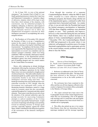5. On 10 June 1941, in view of the national emergency,<sup>49</sup> the Assistant Chief of Staff G-2 was finally granted permission to instruct the Corps Area and Department Commanders to "maintain a digest of subversive situation which will be kept in such form that a brief estimate of the situation, with conclusions, may be submitted promptly by telephone, radiogram, or otherwise, upon request of the War Department." These same commanders were again cautioned, however not to allow any unauthorized investigative activities by their intelligence personnel in accomplishing this newly assigned mission.

6. The President, on 14 November 1941, directed the Secretary of State, to set up a "comprehensive system for the control of all persons, citizens and aliens alike, entering or leaving the United States and its possessions." In compliance, the Secretary of State soon requested the War Department to provide proper representation on several visa committees and one seaman's passport committee, which were being established. MID was naturally called upon to furnish this representation, so the departmental military intelligence agency once more commenced to take part in handling passport and visa control matters for the United States Government.

Hence, after undergoing an abrupt shrinkage immediately following the conclusion of World War I, domestic intelligence operations for the United States Army were soon committed to a lengthy period of enforced inactivity. This unfavorable situation was dictated principally by a public opinion that remained consistently hostile to any form of military intelligence activities along such lines. The handicaps stemming from such outside pressure were somewhat overcome in 1932, though, when the Government was confronted with a series of threatening domestic disturbance caused to a large extent by economic unrest but also conveniently exploited throughout by Communist and other radical elements. These same events likewise served to focus the attention of the national authorities upon the prompt necessity for uncovering Communist attempts to subvert members of the Civilian Conservation Corps and the National Guard. A rapid succession of espionage and sabotage scares pointing toward an alarming increase in foreign agent activities, especially Japanese, against the United States, further contributed to this delayed recognition of the seriousness of the domestic intelligence problem.

Even though the creation of a separate Counterintelligence Branch, within the MID in April 1939, resulted in a more effective domestic intelligence program, this branch, along with the rest of the departmental agency, continued to suffer from a persistent lack of personnel and funds. As a matter of fact, it was not until after the President had issued his limited emergency proclamation in September 1939 that these crippling conditions were permitted slightly to ease. They gradually did improve, however, to the extent that during the last year before Pearl Harbor, there was a marked increase in all phases of Army counterintelligence operations. By 7 December 1941, the Counterintelligence Branch of MID had progressed to the point where it was relatively well-prepared to perform most of its major functional responsibilities and to participate actively in the crucial military security problems which were about to face the Nation.

### **ONI** Message

From: Director of Naval Intelligence To: Pacific Coast Communication Superintendent Subject: Japanese Government Radio Traffic Reference: (a) Letter 1651-24 of 25 January 1924

1. Reference (a) addressed to the Chief of Naval Operations was referred to this office. The letter itself has been referred to the Director of Naval Communications so far as the traffic problem is concerned.

2. The enclosures have been examined in this office and they are all from Japanese officials in this country to Japanese Government offices, principally to the Ministry of Foreign Affairs.

3. The copies enclosed have been sent to the Cryptographic Section of the Code & Signal Section, where they are accumulating a file of all Japanese code messages and it is noted that code and English and code and Japanese have been mixed which us a valuable aid in cryptography.

4. This office also picked up one or two names from Buenos Aires that are interesting from the espionage standpoint and the message regarding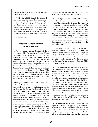Loomis shows his standing as a propagandist in the Japanese Government.

5. It is believed highly desirable that copies of all Japanese messages in code and all Japanese messages in plain Japanese addressed to government offices in Japan or in the United States be sent to this office for examination and later to be sent to the Code  $\&$ Signal Section for cryptographic work. It is requested if practicable that this be done. It is impossible to get from the telephone companies or cable companies any Japanese messages, government of otherwise.

/s/ Henry H. Hough

# **Attorney General Harlan Stone's Reforms**

In April 1924, a new Attorney General took charge of a scandal-ridden Department of Justice. Harlan Fiske Stone, former Dean of the Columbia Law School, had been appointed by President Calvin Coolidge to replace the late President Warren Harding's political crony Harry Daugherty. Stone confronted more than simply corruption in the Justice Department when he took office. The Department's Bureau of Investigation had become a secret political police force. As Stone recalled later, "The organization was lawless, maintaining many activities which were without any authority in federal statutes, and engaging in many practices which were brutal and tyrannical in the extreme."50

Attorney General Stone asked for the resignation of the Bureau Director William J. Burns, former head of the Burns Detective Agency, and directed that the activities of the Bureau "be limited strictly to investigations of violations of the law, under my direction or under the direction of an Assistant Attorney General regularly conducting the work of the Department of Justice." Stone also ordered a review of the entire personnel of the Bureau, the removal of "those who are incompetent and unreliable," and the future selection of "men of known good character and ability, giving preference to men who have had some legal training."<sup>51</sup> The Attorney General chose the young career Bureau official, J. Edgar Hoover, as Acting Director to implement these reforms, largely because

of Hoover's reputation within the Justice Department as an honest and efficient administrator.<sup>52</sup>

A principal problem Stone faced was the Bureau's domestic intelligence operation. He was vividly aware of the violations of individual rights committed in the name of domestic security at the time of the 1920 "Palmer raids." He had joined a committee of protest against Attorney General Palmer's round up of radical aliens for deportation and had urged a congressional investigation. When a Senate Judiciary Subcommittee began hearings in 1921, its first order of business was a letter from Stone calling for "a thoroughgoing investigation of the conduct of the Department of Justice in connection with the deportation cases."53

In considering J. Edgar Hoover for the position of permanent Director of the Bureau of Investigation, Attorney General Stone was aware that he had played a major role in the "Palmer raids" as head of the Justice Department's General Intelligence Division. Roger Baldwin of the American Civil Liberties Union told Stone that he was skeptical of Hoover's ability to reform the Bureau.

With the Attorney General's knowledge, Baldwin met with Hoover to discuss the future of the Bureau. Hoover assured Baldwin that he had played an "unwilling part" in the activities of Palmer, Daugherty, and Burns. He said he regretted their tactics but had not been in a position to anything about them. He intended to help Stone build and efficient law enforcement agency, employing law school graduates, severing connections with private detective agencies, and not issuing propaganda. Most important from the American Civil Liberties Union's point of view, the Bureau's "radical division" would be disbanded. Baldwin wrote Stone, "I think we were wrong in our estimate of his attitude," and announced to the press that the ACLU believed the Justice Department's "red-hunting" days were over.<sup>54</sup>

When Attorney General Stone arrived in 1924, he requested a review of the applicability of the federal criminal statutes to Communist activities in the United States. Various patriotic organizations had urged that Communists be prosecuted under the federal sedition conspiracy law, but the courts had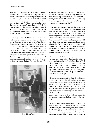ruled that this Civil War statute required proof of a definite plan to use force against the government.<sup>55</sup> Justice Department lawyers also rejected prosecution under the Logan Act, enacted in the 1790s to punish hostile communications between American citizens and a foreign country.<sup>56</sup> These conclusions buttressed the Attorney General's decision to abolish the Bureau's domestic intelligence operations, although Stone told Roger Baldwin of the ACLU that he had no authority to destroy the Bureau's intelligence files, without an Act of Congress.<sup>57</sup>

Attorney General Stone may also have contemplated the possibility of future investigations under Congress's prewar revision of the Justice Department appropriations statute. He asked Acting Director Hoover whether the Bureau would have the authority to investigate Soviet and Communist activities within the United States for the State Department in connection with the question of recognition of the Soviet government. Hoover replied that the appropriations act did allow such investigations, upon formal request by the Secretary of State and approval of the Attorney General. The



**John Edgar Hoover** 

Acting Director stressed that such investigations "should be conducted on an entirely different line than previously conducted by the Bureau of Investigation" and that there should be no publicity "because any publicity would materially hamper the obtaining of successful results."58

After 1924, the Bureau of Investigation continued to receive information volunteers to it about Communist activities, and Bureau field offices were ordered to forward such data to headquarters. But the Bureau made "no investigations of such activities, inasmuch as it does not appear that there is any violation of a Federal Penal Statute involved."<sup>59</sup> Military intelligence officers still had a duty, under an Army emergency plan, to gather information "with reference to the economical, industrial and radical conditions, to observe incidents and events that may develop into strikes, riots, or other disorders and to investigate and report upon the industrial and radical situation."

However, by 1925 the military lacked adequate personnel and requested the Bureau of Investigation to provide information on "radical conditions."<sup>60</sup> J. Edgar Hoover replied that the Bureau had discontinued "general investigations into radical activities," but would communicate to the military any information received from specific investigations of federal violations "which may appear to be of interest" to the military.<sup>61</sup>

Despite the curtailment of federal intelligence operations, it would be misleading to say that domestic intelligence operations ceased in the United States after 1924. The efforts of state and local authorities to investigate possible violations of state sedition laws continued in many parts of the country. Moreover, private industry engaged the services of detectives and informers to conduct surveillance of labor organizing activities. These industrial espionage programs reached their peak in the early  $1930's$ 

A Senate committee investigations in 1936 exposed these tactics and influenced at least one private detective firm, the Pinkerton Agency, to discontinue its anti-labor spying. The Senate inquiry documented the efficient techniques developed by labor spies for destroying unions. They wreaked havoc on union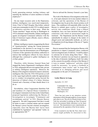locals, generating mistrust, inciting violence, and reporting the identities of union members to hostile employers.<sup>62</sup>

On one major occasion early in the Depression, military intelligence was reactivated temporarily. Army Chief of Staff Douglas MacArthur ordered corps area commanders in mid-1931 to submit reports on subversive activities in their areas. When the "bonus marchers" began arriving in Washington in 1932 to demand veteran benefits, military intelligence agents investigated Communist influence with the help of American Legion officials, reserve officers, and other volunteers.

Military intelligence reports exaggerating the threat of "insurrectionists" among the veteran protestors contributed to the decision to use troops in a mass assault to clear the demonstrators out of Washington. Criticism of this operation led military authorities to instruct that intelligence officers be more discreet although they continued to gather intelligence on civilian groups.<sup>63</sup>

Therefore, while Attorney General Stone had stopped the Justice Department's intelligence efforts in 1924, safeguards did not exist against state, private or military intelligence operations. Moreover, the Bureau of Investigation retained its massive domestic intelligence files from the 1916-1924 period, as well as the vague legal authority under the appropriations act to conduct investigations going beyond the detection of federal crimes if a future Attorney General and a Secretary of State should direct it to  $d$ o so.

Nevertheless, when Congressman Hamilton Fish and members of a Special House Committee to Investigate Communist Activities in the United States proposed legislation authorizing the Bureau of Investigation to investigate "Communist and revolutionary activity" in 1931, Director Hoover opposed it. He told Congressman Fish that it would be better to enact a criminal statute and not expand the Bureau's power beyond criminal investigation, especially since the Bureau had "never been established by legislation" and operated "solely on an appropriation bill."64

Hoover advised the Attorney General a year later,

The work of the Bureau of Investigation at this time is... of an open character not in any manner subject to criticism, and the operations of the Bureau of Investigation may be given the closest scrutiny at all times...The conditions will materially differ were the Bureau to embark upon a policy of investigative activity into conditions which, from a federal standpoint, have not been declared illegal and in connection with which no prosecution might be instituted. The Department and the Bureau would undoubtedly be subject to charges in the matter of alleged secret and undesirable methods...as well as to allegations involving charges of the use of "Agents" Provocateur."

Hoover assumed that the Immigration Bureau with jurisdiction to deport Communist aliens conducted such investigation and, if it did not, "would be subject to criticism for its laxity along these lines." Thus, the Director's position was not based on opposition to the idea of domestic intelligence itself, but rather on his concern for possible criticism of the Bureau if it were to resume "undercover" activities which would be necessary "to secure a foothold in Communistic inner circles" and "to keep fully informed as to changing policies and secret propaganda on the part of Communists."<sup>65</sup>

#### **Letter Hoover to Lang**

September 18, 1925

Commander E.K. Lang Office of Naval Intelligence Navy Department Washington, D.C.

There has just come to my attention certain information which I thought might be of some interest and value to you. The son of a friend of mine in New York has succeeded in picking up Nijui Novgorod Soviet Government Radio laboratory on his short wave set. The transmission is now experimental, as announced by the operation of the Soviet station.

It has occurred to me that the Navy short wave station might probably be interested in this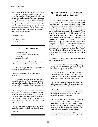information and might be able to pick up some code which would be interesting to decipher. The set which the son of this friend of mine is using was made by him and I have no doubt but that other parties who really have an interest in getting information from Russia are operating sets that are receiving messages from the Soviet station. Knowing that the Soviets are still disseminating propaganda and are in touch with parties on this side, it occurred to me that the medium of the radio would be excellent to use in sending code messages.

Very truly yours,

/s/ J. Edgar Hoover Director

#### **Navy Department Memo**

Navy Department Office of Chief of Naval Operations Washington 22 September 1925

From: Officer-in-Charge, Code and Signal Section To: Lieut. Comdr. E.K. Lang, U.S.N.

SUBJECT: Messages from Nujui Novgorod Soviet Government Radio Laboratory

Reference: Letter from Mr. J. Edgar Hoover, of 18 September 1925

1. The Navy short wave receiving sets are all engaged in handling traffic or in experimental work and cannot be spared for the purpose of copying foreign traffic in which the State Department may be interested.

2. It is suggested that you request this amateur, through Mr. Hoover, to copy such traffic from the Nujui Novgorod Radio Laboratory as he can, and forward it direct to the Office of Naval Intelligence. This traffic will probably be in plain language (if for propaganda) and can be translated by your Translating Section.

3. Such parts of this traffic as may be in cipher can be forwarded to the Code and Signal Section.

/s/D. J. Friedell

# **Special Committee To Investigate Un-American Activities**

This committee was established in 1934 and chaired by Representative John W. McCormack from Massachusetts. The committee was charged with investigating activities by Communists, Nazis and Fascists. The committee concluded that communism was not sufficiently strong enough to harm the United States but its continued growth did represent a future danger to the country. The committee's report cited that attempts were being made from abroad and by diplomatic or consular officials to influence Americans. They also found that some efforts were being made to organize some of the citizens and resident aliens and said that constitutional rights of Americans had to be preserved from these "isms." They found Nazism, Fascism and Communism all to be equally dangerous and unacceptable to American interest.

To solve the problem, the Committee recommended that a law be enacted.

1. that required the registration of all publicity, propaganda, or public relations agents, or other agents who represent any foreign country;

2. that the Secretary of Labor have authority to shorten or terminate any visit to the United States by any foreign visitor traveling on a temporary visa if that person engaged in propaganda activities;

3. that the Department of State and Department of Labor negotiate treaties with other nations to take back their citizens who are deported:

4. that Congress make it unlawful to advise, counsel or urge any military or naval member, including the reserves, to disobey the laws and regulations governing such forces;

5. that Congress enact legislation so the U.S. Attorneys outside the District of Columbia can proceed against witnesses who refuse to answer questions, produce documents or records or refuse to appear or hold in contempt the authority of any Congressional investigating committee; and

6. that Congress make it unlawful for any person to advocate the overthrow or destruction of the United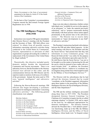States Government or the form of government guaranteed to the States by Article IV of the fourth section of the Constitution.

On the basis of the Committee's recommendation, Congress enacted the McCormack Foreign Agents Registration Act in 1938.

# The FBI Intelligence Program, 1936-1938

Instructions were issued to FBI agents immediately after Director Hoover's meeting with the President and the Secretary of State. FBI field offices were ordered "to obtain from all possible sources information concerning subversive activities being conducted in the United States by Communists, Fascists, representatives or advocates of other organizations or groups advocating the overthrow or replacement of the Government of the United States by illegal methods."66

Theoretically, this directive included purely domestic matters besides the international Communist and Fascists movements. There is no indication; however, that the President or the Attorney General were advised of this order; and the communications between the FBI Director and his superiors made no mention of advocacy of overthrow of the government. Instead, the terms used in 1936 were "general intelligence" and subversive activities."

Following the Hoover-Roosevelt meetings, FBI officials also began developing a systematic organization for intelligence information "concerning subversive activities." The following general classifications were adopted:

Maritime Industry Activities in Government Affairs Activities in the Steel Industry Activities in the Coal Industry Activities in the Newspaper Field Activities in the Clothing, Garment and Fur **Industries General Strike Activities** Activities in the Armed Forces of the United States Activities in Educational Institutions

General Activities-Communist Party and **Affiliated Organizations Activities of the Fascists Anti-Fascists Movements** Activities in Organized Labor Organizations

Steps were also taken to determine whether certain individuals were "available for service in the capacity of an informant," to "index the material previously submitted," and to "prepare memoranda dealing individually with those persons whose names appear prominently at the present time in the subversive circles." The Director was to receive daily memoranda on "major developments in any field" of subversive activities.<sup>67</sup>

The President's instructions had dealt with relations between the FBI and other federal agencies. At this initial meeting with Hoover, the President said that the Secret Service "had assured him that they had informants in every Communist group," but Roosevelt believed this" was solely for the purpose of getting any information upon plots upon his life." He told Hoover that the Secret Service "was not to be brought in on this matter of protecting his life and the survey which he desired to have made with on a much broader field." In addition, the President suggested that Hoover "endeavor to coordinate any investigation along similar lines which might be made by the Military or Naval Intelligence Services."<sup>68</sup>

The Director told his subordinates that he had advised the Attorney General that he would "coordinate, as the President suggested, information upon these matters in the possession of the Military Intelligence Division, the Naval Intelligence Division, and the State Department.<sup>69</sup>

The FBI and the military intelligence proceeded along these lines in 1937-1938. The President designated Attorney General Cummings "as Chairman of a Committee in inquire into the so-called espionage situation" in October 1938, and to report on the need for "an additional appropriation for domestic intelligence." The Attorney General advised the President that a "well defined system" was functioning, made up of the FBI, the Military Intelligence Division, and the Office of Naval Intelligence, whose heads were "in frequent contact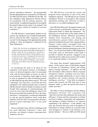and are operating in harmony." He recommended that the appropriations be increased by \$35,000 each for MID and ONI and by \$300,000 for the FBI. He also submitted a plan prepared by Director Hoover in consultation with the military agencies. He observed that "no additional legislation to accomplish the general objectiveness seems to be required" and that "the matter should be handled in strictest confidence."70

The FBI Director's memorandum spelled out the reasons why legislation was considered undesirable. Hoover believed the FBI's expansion could "be covered" by the language in the appropriations statute relating to "other investigations" conducted for the State Department: 71

Under this provision investigations have been conducted in years pasts for the State Department of matters which do not in themselves constitute a specific violation of a Federal Criminal Statute, such as subversive activities. Consequently, this provision is believed to be sufficiently broad to cover any expansion of the present intelligence and counterespionage work which it may be deemed necessary to carry on....

In considering the steps to be taken for the expansion of the present structure of intelligence work, it is believed imperative that it be proceeded with, with the utmost degree of secrecy in order to avoid criticism or objections which might be raised to such an expansion by either ill-informed persons or individuals having some ulterior motive. The word "espionage" has long been a word that has been repugnant to the American people and it is believed that the structure which is already in existence is much broader than espionage or counterespionage, but covers in a true sense real intelligence values to the three services interested, namely, the Navy, the Army, and Justice. Consequently, it would seem undesirable to seek any special legislation which would draw attention to the fact that it was proposed to develop a special counter-espionage drive of any great magnitude. $72$ 

Hoover noted that Army and Navy Intelligence did not need additional legislation "since their activities...are limited to matters concerning their respective services."

The FBI Director reviewed the current and proposed future operations of each of the three intelligence agencies. The FBI had set up a General Intelligence Section to investigative and correlate information dealing with "activities of either a subversive or a so-called intelligence type."

Each FBI field office had "developed contacts with various persons in professional, business, and law enforcement fields" to obtain this information. The following was a break-down of the subject matter in the Intelligence Section: "Maritime; government; industry (steel, automobile, coal, mining, and miscellaneous); general strikes; armed forces; education institutions Fascists; Nazi; organized labor; Negroes; youth; strikes; newspaper field; and miscellaneous." All information "of a subversive or general intelligence character pertaining to any of the above" was reviewed and filed at FBI headquarters, with index cards on individuals which made it possible to identify the persons "engaged in any particular activity, either in any section of the country or in a particular industry or movement."

This index then included "approximately 2500 names...of the various types of individuals engaged in activities of Communism, Nazism, and various types of foreign espionage." In addition, the FBI had "developed a rather extensive library of general intelligence matters, including sixty-five daily, weekly, and monthly publications, as well as many pamphlets and volumes dealing with general intelligence activities." From both investigative sources and research, the FBI from time to time prepared "charts...to show the growth and extent of certain activities."73

The Office of Naval Intelligence and the Military Intelligence Division were concerned with "subversive activities that undermine the loyalty and efficiency" of Army and Navy personnel or civilians involved in military construction and maintenance; with sabotage of military facilities or of "agencies" contributing o the efficiency:" of the military; and with "spy activities that may result in divulgence of information to foreign countries or to persons when such divulgence is contrary to the interests of our national defense." However, MID and ONI lacked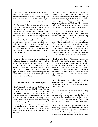trained investigators, and they relied on the FBI "to conduct investigative activity in strictly civilian matters of a domestic character." The three agencies exchanged information of interest o one another, both in the field and at headquarters in Washington.

For the future, all three agencies agreed that other federal agencies should be excluded from intelligence work since others were "less interested in matters of general intelligence and counter-intelligence." And because "the more circumscribed this program is, the more effective it will be and the less danger there is of its becoming a matter of general public knowledge." The FBI hoped to expand its personnel so that it could assign an agent specializing in intelligence to each of its forty-five field offices and could reopen offices in Hawaii, Alaska, and Puerto Rico. Additional funds would also be used to expand FBI facilities for "specialized training in general intelligence work."74

Director Hoover met with the President in November 1938 and learned that he had instructed the Budget Bureau "to include in the Appropriations" estimate \$50,000 for Military Intelligence, \$50,000 for Naval Intelligence and \$150,000 for the Federal Bureau of Investigation to handle counter-espionage activities." The President also said "that had approved the plan which (Hoover) had prepared and which had been sent to him by the Attorney General," except for the revised budget figures.<sup>75</sup>

# The Search For Japanese Spies

The Office of Naval Intelligence (ONI) suspected that the Japanese naval attaché office at the Japanese Embassy in Washington, D.C. controlled their spy operations throughout the United States. Under ONI guidance, efforts were increased to cover Japanese activities, including surveillance of Embassy military officials and suspected Japanese naval officers posing as students at major American universities. Their efforts resulted in the expulsion of Japanese assistant naval attaché, Yoshiro Kanamoto, who was caught photographing the U.S. Navy's fuel oil reserve depot at Point Loma and sketching the North Island Naval Air Station.

William D. Puleston, ONI Director, took a personal interest in the so-called language students. "The personality and movements of Japanese language officers are matters of greatest interest to this office, because experience in the past has shown that they engage in illegal activities." ONI was able to confirm the Director's concerns about this perceived threat from deciphering Japanese coded radio messages.

In reviewing a Japanese message, a cryptoanalyst, Miss Aggie Driscoll, had marked a section with contained the word "TO-MI-MU-RA." Not knowing what it meant, Miss Aggie, as her colleagues called her, showed the message to a Japanese language expert. The expert initially said that the word could reflect a Japanese name but Miss Aggie did not buy that explanation. The expert next suggested that the part of the word "mura" means town but also has an alternate meaning of "son." By putting the first part of the word with "son," the word becomes "Tomison or Thompson. ONI now a lead to a possible spy.

The lead led to Harry J. Thompson, a clerk in the Navy, who was contacting his ex-shipmates on behalf of the Japanese. His case officer was Commander Miyazaki, who was in the United States under English language student cover. When the FBI arrested Thompson, Miyazaki suddenly left the United States for Japan. Thompson was convicted under the Espionage Act of 1917 and sentenced to fifteen years at McNeil Island.

The radio traffic also revealed another possible American spy, codenamed Agent K. ONI investigation resulted in identifying Agent K as John Semer Farnsworth.

John Semer Farnsworth was arrested on 14 July 1937 and charged with selling confidential papers of the U.S. Navy to an agent of the Japanese government. Farnsworth, a former Lt. Commander, was held on \$10,000 bond and confined to the Washington, D.C. jail until his preliminary hearing.

The Japanese embassy depicted the charges as "astonishing" and stated that the first time they heard of Farnsworth was on the day before his arrest when someone called the embassy twice to ask for money in connection with a recent spy case. The spy case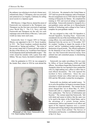the embassy was referring to involved a former navy enlisted man, Harry T. Thompson, who was convicted and sentenced at Los Angeles, California for selling naval secrets to a Japanese agent.

FBI Director, J. Edgar Hoover, denied the arrest of Farnsworth was connected to the Thompson case. Thompson was the first man convicted of espionage since World War I. The U.S. Navy said that Farnsworth and Thompson are the only two such espionage cases in the history of the navy. Later years would see many more such cases.

Farnsworth, born 13 August 1893 in Chicago, Illinois, was appointed to the U.S. Naval Academy in 1911. The Naval Academy yearbook described Farnsworth as "daring and reckless." The writer of the account stated that if Farnsworth had resided in the days of the old navy, he "would have been famous for his desperate deeds and hairbreadth escapes." The writer closed his remarks with a quote from John Milton, "He can, I know, but doubt to think he will."

After his graduation in 1915, he was assigned to the Asiatic fleet, where in 1916 he went aboard the



Photograph of John Semer Farnsworth in the **U.S. Naval Academy Yearbook.** 

S.S. Galveston. He returned to the United States in 1917 and was given the temporary rank of lieutenant. His next assignment was in 1920 when he took flight training at Pensacola Air Station. He completed his training in 1922 and received ratings on seaplanes and airships. Farnsworth returned to Annapolis for a post-graduate course and then on to Massachusetts Institute of Technology and a college in New York to complete his post-graduate studies.

He was assigned to duty with VO Squadron 6, Aircraft Squadron, Scouting Fleet. Farnsworth, considered to be one of the most brilliant of the navy's young officer, was court-martialed in 1927. He was dismissed from the service on 12 November 1927 for conduct "tending to impair the morale of the service" and for "scandalous conduct tending to the destruction of good morale. The official explanation for the dismissal of one of the Navy's bright future stars was that Farnsworth borrowed money from enlisted men and committed perjury in disclaiming indebtedness

Farnsworth was under surveillance for two years by Office of Naval Intelligence (ONI) and FBI officers. Surveillance began after Farnsworth visited Annapolis where he was reported to have pushed the wife of a high-ranking navy officer to allow him to read official documents. The wife reported the incident to Navy authorities. Since the case concerned a former navy officer and navy equities, ONI and the FBI jointly worked the investigation.

Farnsworth was destitute and needed money. To try to solve his problem, he began to recontact former associates to solicit documents. The warrant for his arrest charged that "on or about May 15, 1935," Farnsworth sold to a Japanese agent a confidential Navy publication, "The Service of Information and Security." The warrant stated that Farnsworth, "did with intent and reason to believe that the same was to be used to the injury of the United States, and to the advantage of a certain foreign nation, communicate, deliver and transmit to an officer and agent of the imperial Japanese navy a certain document and writing relating to the national defenseto wit, a certain book entitled 'The Service of Information and Security,' a confidential publication of the U.S. Navy.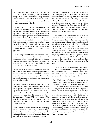This publication was first issued in 1916 under the title, "Scouting and Screening," but the title was changed in 1917 to the present title. The publication contains plans for battle information and tactics that were gathered from actual fleet maneuvers and tested by high-ranking naval officials.

On 17 July 1937, Farnsworth admitted to a journalist that he did show photographs of U.S. Navy aviation equipment to a Japanese agent while he was negotiating employment with the Japanese Air Force. He said that the photographs were available to anyone from the U.S. Navy's Public Relations Office. He also said that he included with the official photographs, some of his own photos taken during his naval service. He was attempting to demonstrate to the Japanese his experience and knowledge by including the photographs with his employment application.

He told the journalist that he had accidentally sent the document, mentioned in the warrant, home with his personal affects when he left the navy. He said the document, along with other personal items, was destroyed by a fire at his house. He denied passing the document to the Japanese agent.

Three days later, Farnsworth informed a newsman that he did sell two articles or monographs on naval subjects to the Japanese agent for \$1,000. He said the articles were not classified. One of the articles was on a London naval conference and the other on naval aviation training.

The case was given to a grand jury. During the grand jury testimony it was revealed that Farnsworth had telephoned the Japanese embassy twice on the day before his arrest. Lt. Commander Leslie G. Genhres testified that Farnsworth took the confidential study from his desk in the Navy Department on 1 August 1934. An employee of the navy photostat plant, Mrs. Grace Jamieson, said that Farnsworth made frequent visits to the plant to copy military documents.

Based on the evidence presented, the grand jury indicted Farnsworth on two charges. The first charge was that Farnsworth actually transmitted the confidential book to an agent of Japan and the second count alleges an attempt to transmit the volume.

At the upcoming trial, Farnsworth faced a maximum penalty of 20 years, authorized under the provisions of the law making it illegal in peacetime "to disclose information affecting the nation's defense. Farnsworth said he would base his defense on an aircraft accident he had when he was an aviation student at Pensacola Naval Air Station. The Navy said it had no record of such an accident but Farnsworth's parents insisted that their son had been "irresponsible: since the accident.

In November 1936, Farnsworth's lawyer asked the court-martial commission to have the American Consul General in Tokyo take depositions from the two Japanese naval officers with whom Farnsworth was alleged to have conspired. The two officers, Yosiyuki Itimiya and Akira Yamaki, both Lt. Commanders of the Imperial Japanese Navy, were formerly stationed at the Japanese embassy in Washington, D.C. as naval observers. Farnsworth's lawyer argued that since the two Japanese officers were no longer accredited to the United States as diplomats, they could freely testify and that their answers to defense questions were material to the case.

In December, Japan refused to authorize its naval officers to present testimony to any disposition in the Farnsworth case. The embassy noted that Japanese law could not compel its military officers to answer interrogations of foreign nations.

On 15 February 1937, Farnsworth changed his innocent plea to nolo contendere and threw himself on the mercy of the court. The prosecution had a list of fifty witnesses ready to testify against Farnsworth. The judge said he wanted to review the aspects of the case before pronouncing sentence. A few days later, Farnsworth requested to again change his plea from nolo contendere to not guilty. In his written request to the judge, he said that he made his decision without the advice of his counsel and it based on the publicity the case received. He claimed that his family suffered from the publicity and he was under the mistaken impression that his nolo contendere plea would not bring such adverse notoriety. The judge said that Farnsworth was in his rights to change his plea before sentencing and that he would hear Farnsworth's motion.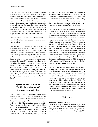This was the first in a series of moves by Farnsworth to have his case dismissed. Farnsworth's lawyers withdrew from the case, and Farnsworth tells the judge that he will conduct his own defense. His next move was to file a writ of habeas corpus to get released from prison. He argued that the facts alleged in the indictment, under which he was convicted, did not constitute a crime. He claimed that he did not understand nolo contendere meant guilty and wanted to withdraw the plea but the court rejected it. The judge denied his writ and upheld the indictment.

Farnsworth was sentenced on 27 February 1937 to serve "not less than four years nor more than twelve years in prison."

In January 1938, Farnsworth again appealed the judge's decision in the writ of habeus corpus. He alleged that the court erred in holding a petitioner could not be released "from unlawful imprisonment" by habeas corpus proceedings; that the trial court did not have the jurisdiction in the case and that the court did not have the power to pronounce an indeterminate sentence. Farnsworth's sentence was upheld by the U.S. Fifth Circuit Court of Appeals for conspiracy to divulge military secrets to Japan. The court ruled that Farnsworth and others conspired "to communicate and transmit to a foreign governmentto wit Japan-writings, code books, photographs and plans relating to the national defense with the intent that they should be used to the injury of the United States "

# **Special House Committee ForThe Investigation Of Un-American Activities**

Martin Dies, a Texas Congressman, introduced a resolution on 21 July 1937 to create a special committee to investigate subversion in the United States. After prolonged debate the resolution passed on 26 May 1938. The committee, known as the Dies Committee after its chairman, was formed on 6 June but formal hearings did not begin until 12 August. The major target of the committee was organized labor groups, particularly the Congress of Industrial Organizations. A major tactic employed by Dies, and

one that set a pattern for how the committee functioned until after World War II, was his meeting alone and secretly with friendly witnesses who accused hundreds of individuals of supporting Communist activities. The press sensationalized these accusations but only a few of the accused were given the opportunity to defend themselves.

Because the Dies Committee was a special committee, its mandate had to be renewed by the Congress every two years. This changed in 1945 when it was replaced by the permanent standing Committee on Un-American Activities. Over the next five years the committee originated investigations into the motion picture industry, hunting for communists. Their investigation resulted in the blacklisting of producers, writers and actors by Hollywood. But the committee's greatest fame was its investigation of Alger Hiss and his eventual perjury, which fixed internal communism as a leading political issue. As a major political force, the Committee used contempt citations as a major weapon against those who refused to testify by taking the Fifth Amendment right against self-incrimination. In 1950, for example, the Committee issued 56 citations out of the 59 citations voted by the House of Representatives.

In the 1950s, Senator Joseph McCarthy began his investigations into communists in government, which overshadowed the work of the committee. Being in the background, the committee did not suffer any affect from McCarthy's downfall. The committee continued to pursue communists and other un-American activities until the beginning of 1960. For the next two decades, the committee focused on the black militants, the anti-war movement, other radical youth groups and terrorism. In 1968 the committee was renamed the Committee on Internal Security. In 1975 the committee was abolished.

# **Defectors**

#### **Alexander Gregory Barmine**

Alexander Gregory Barmine, born 16 August 1899, in Russia, joined the Red Army as a private and rose through the ranks to become a brigadier general. He was recruited by Soviet military intelligence (GRU)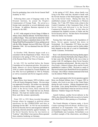from his graduating class in the Soviet General Staff Academy in 1921.

Following three years of language study at the Oriental Institute, he joined the People's Commissariat of Foreign Trade. He served as a foreign trade specialists at several diplomatic posts in Europe. In addition, Barmine reported on his contacts to the GRU.

In 1937, while assigned as Soviet Charge d'Affaires in Athens, Greece, Barmine defected. He first fled to Paris as a political refugee. Three years later he entered the United States where he became a naturalized citizen in July 1943. During World War II he joined the US Army and later served with the Office Strategic Services (OSS) from 1943 until September 1944. He was dismissed from the OSS for absenteeism.

In October 1948, Barmine began work as a consultant with the Department of State. Prior to his retirement in the spring of 1972, he served as chief of the Russian Desk of the Voice of America.

In July 1951 he testified before the Senate Committee on Un-American activities. He wrote two books, Memoirs of a Soviet Diplomat (published in 1938 in London-translated by Gerard Hopkins) and One Who Survived (published in 1945 by Putnam) as well as occasional anti-Soviet magazine articles.

#### **Ignace Reiss**

Ignace Reiss, born January 1899 in Galicia, a part of the old Austro-Hungarian Empire. His true name was apparently Poretskiy. His mother was reportedly a Russian Jewess and his father a gentile. In 1922, while in the Soviet Union, Reiss married Else Bernaut, a student. The couple had one son, Roman Bernaut. Else kept her maiden name and, at times, Reiss used this surname operationally.

From 1921 to 1931 Reiss traveled throughout Europe where he engaged in political action operations for the COMINTERN and then in espionage for the GRU. In 1931 he was recruited by the Soviet Security Service and assigned to industrial espionage directed primarily against Germany. In the Soviet Security Service he was known as "Ludwig." After Hitler's rise to power, Reiss operated from countries bordering on Germany.

In the spring of 1937, Reiss, whose family was living in the West with him, decided to break with the Soviets because of the brutal purges then under way in the Soviet Union. During this time, he established contacts with Trotskiyites in Western Europe. On 17 July 1937, Reiss wrote a letter to the Central Committee of the Communist Party of the Soviet Union and delivered it to the Soviet Commercial Mission in Paris. In this letter he condemned the frightful excesses of Stalin and the Soviet Security Service. He then fled to Switzerland where his family was located.

Turning their full attention to the liquidation of Reiss, Soviet agents tracked him down in Switzerland. On 4 September 1937 Reiss was shot and killed by Soviet assassins and his bullet-ridden body dumped on the side of a road in Chamblandes outside Lausanne, Switzerland.

Reiss' wife identified the body bearing identity papers with the name Herman Eberhardt as that of Ignace Reiss. In later years after World War II, she was at time in contact with US intelligence about Soviet Security Service operations and personnel. She also wrote Our Own People: A Memoir of Ignace Reiss and his Friends (published in London in 1969). The book is a study of their involvement in pre-World War II Soviet operations in Europe. One of Reiss' friends mentioned in the book was the defector Walter Krivitsky.

An active participant in the Soviet operation against Reiss was Roland Abbiate, born 15 August 1905 in London, who lived at one time in the United States during the early twenties. Abbiate disappeared after the murder. Later, during World War II, he turned up again in the United States where he served as a Soviet diplomat, Vladimir Sergeyvich Pravdin.

Anatoli Golitsyn, another Soviet defector in the 1960s, also claimed that Pravdin was active in Austria after World War II, often passing as a Frenchman.

The French Ministry of Interior study, A Soviet Counter-espionage Network Abroad - the Reiss Case, published on 20 September 1951, stated "The assassination of Ignace Reiss on 4 September 1937 at Chamblandes near Lausanne, Switzerland, is an excellent example of the observation, surveillance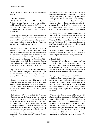and liquidation of a 'deserter' from the Soviet secret service"

#### **Walter G. Krivitsky**

Walter G. Krivitsky, born 28 June 1899 in Podwoloczyska, Russia, was a Soviet military intelligence officer who defected to the West prior to World War II. Krivitsky, whose true name was Samuel Ginsburg, spent nearly twenty years in Soviet intelligence.

At the age of thirteen, Krivitsky became active in the Russian working class movement and five years later, in 1917, he joined the Bolshevik Party. Shortly after the revolution, he entered the Red Army and was assigned to military intelligence.

In 1920, he was sent to Danzig, with orders to prevent the landing of French munitions being shipped to the Polish army. He was also instructed to organize strikes against arms shipments in other European cities. In 1922 Krivitsky, along with other Soviet officers, was dispatched to Berlin to mobilize elements of unrest in the Ruhr; to create the German Communist Party's intelligence service; and to form the nucleus of the future German Red Army.

By 1926, Krivitsky was chief for Central Europe in Soviet Military Intelligence. After several years in Moscow he was posted to The Hague in 1935 as Chief of Military Intelligence for Western Europe.

During this assignment, he provided Moscow with information about secret negotiations then taking place between Japan and Germany. In 1936, Krivitsky was instructed to create a system to purchase and transport arms to the Red forces fighting in the Spanish Civil War

In September 1937, one of Krivitsky's closest colleagues and friends, Ignace Reiss, was murdered after having broken with the Soviets. Krivitsky feared that he too was doomed to be purged. In later years he claimed that his friend's death, coupled with Stalin's purges of the Old Bolshevik Guard, many of whom were his friends and colleagues, were key factors influencing his own decision to sever his connection with the Soviet government and the Communist Party of the Soviet Union in October 1937.

Krivitsky with his family were given asylum by the French government in October 1937. During the next year, while living in France and guarded by the French police, the Soviets tried unsuccessfully to assassinate him. In November 1938, Krivitsky, who planned to write a book, arrived in the United States for an extended visit. The following year he testified before the House Committee on Un-American Activities and was interviewed by British authorities.

Traveling from Canada, Krivitsky re-entered the United States in October 1940 in order to settle in New York under the name Walter Poref. On 10 February 1941 he was found shot to death in a hotel room in Washington, D.C. where he was in transit to New York. Questions still remain whether his death was a suicide or a Soviet liquidation.

Krivitsky's book I Was Stalin's Agent, was published in London in 1940. In it, he warned of high-level penetrations in Western governments.

#### **Aleksandr Orlov**

Aleksandr Orlov, whose true name was Leon Lazarevich Feldbin, was born on 21 August 1985 in Bobruisk, Russia. He was drafted into the Russian army and stationed in the Urals in 1916. The next year he joined the Bolshevik Party and graduated as a second lieutenant from the Third Moscow Military School.

By September 1920 he was with the 12<sup>th</sup> Red Army on the Polish front where he was in charge of guerrilla activity and counterintelligence. The successes of his work on the Polish front brought him to the attention of Feliks Dzerzhinskiy, chief of the Cheka, the Soviet State Security Service at the time. A year later, during a brief assignment to Archangel, Orlov was married.

With his wife, Orlov returned to Moscow in 1921 to become assistant prosecutor to the Soviet Supreme Court. While in this position, he worked on the formation of the Soviet criminal code and, at Dzerzhinskiy's request, investigated Soviet citizens accused of economic crimes. Soon thereafter Dzerzhinskiy brought Orlov into the Cheka as deputy chief of the Economic Directorate. He served in this position until 1925 when he became brigade commander of the border guards in Armenia. The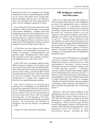following year Orlov was reassigned to the Foreign Department in a newly created headquarters unit that was to oversee and control Soviet foreign trade. Shortly thereafter, under the alias Leon Nikolayev, Orlov was transferred to the Paris representation as chief of Soviet intelligence operations in France.

From 1928 until 1931 he served at the Soviet Trade Delegation in Berlin where he again was concerned with economic intelligence. As deputy chief of the headquarters economic control component from 1933 to early 1936, Orlov traveled frequently to Europe, directing illegals in operations against Germany. While still assigned in Moscow, he served a year as deputy chief of the Department of Railways and Sea Transport in the Soviet State Security Service.

In 1936 Orlov was sent to Spain as Soviet liaison representative to the Republican Government for matters of intelligence, counterintelligence, and guerrilla warfare. Throughout Orlov's stay in Spain, tales mounted of secret trials, summary executions, and widespread terror in the Soviet Union.

In July 1938, Orlov was abruptly ordered to Paris. While in transit, he stopped to see his family, which was living in France not far from the Spanish border. Orlov discussed with his wife his growing suspicions and his moral revulsion, and then decided to break with Stalin and the Soviet Union. After first enlisting the aid of the Canadians, the Orlovs entered the United States on 13 August 1938. Eighteen years later they were granted permanent residence.

After Orlov's defection, he provided much information to US intelligence on pre-World War II personnel and operations of the Soviet State Security Service. With the publication of his book, The Secret History of Stalin's Crimes in 1953, the true history of the Soviet Union from 1934 to 1938 was revealed for the first time. In 1955 and again in 1957, Orlov appeared before the Senate Subcommittee on Internal Security. His second book, The Handbook of Intelligence and Guerrilla Warfare, was published in 1963.

In April 1973 Orlov died in the United States.

# **FBI Intelligence Authority And Subversion**

There is no evidence that either the Congress in 1916 or Attorney General Stone in 1924 intended the provision of the appropriations statue to authorize the establishment of a permanent domestic intelligence structure. Yet Director Hoover advised the Attorney General and the President in 1938 that the statute was "sufficiently broad to cover any expansion of the present intelligence and counterespionage work which it may be deemed necessary to carry on."76 Because of their reluctance to seek new legislation in order to keep the program secret, **Attorney General Cummings and President Roosevelt** did not question the FBI Director's interpretation. Nevertheless, the President's approval of Director Hoover's 1938 plan for joint FBI-military domestic intelligence was a substantial exercise of independent presidential power.

The precise nature of FBI authority to investigate "subversion" became confusing in 1938-1939. Despite the references in Director Hoover's 1938 memorandum to "subversion," Attorney General Cummings cited only the President's interest in the "so-called espionage situation."<sup>77</sup> Cummings' successor, Attorney General Frank Murphy, appears to have abandoned the term "subversive activities."78 Moreover, when Director Hoover provided Attorney General Murphy a copy of his 1938 plan, he described it (without mentioning "subversion") as a program "intended to ascertain the identity of persons engaged in espionage, counter-espionage, and sabotage of a nature not within the specific provision of prevailing statues."79

Moreover, a shift away from the authority of the appropriations provision, which was linked to the State Department's request, became necessary in 1939 when the FBI resisted an attempt by the State Department to coordinate domestic intelligence investigations. Director Hoover urged Attorney General Frank Murphy in March 1939 to discuss the situation with the President and persuade him to "take" appropriate action with reference to other governmental agencies, including the State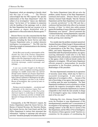Department, which are attempting to literally chisel into this type of work...." The Director acknowledged that the FBI required "the specific authorization of the State Department" where the subject of an investigation "enjoys any diplomatic status," but he knew of "no instance in connection with the handling of the espionage work in which the State Department has had any occasion to be in any manner or degree dissatisfied with or apprehensive of the action taken by Bureau agents."80

Director Hoover was also concerned that the State Department would allow other Federal investigative agencies, including the Secret Service and other Treasury Department units, to conduct domestic intelligence investigations.<sup>81</sup> The FBI cited the following example in communications to the Attorney General in 1939:

On the West coast recently a representative of the Alcohol Tax Unit of the Treasury Department endeavored to induce a Corps Area Intelligence Officer of the War Department to utilize the services of that agency in the handling of all investigations involving espionage, counter-espionage, and sabotage....

A case was recently brought to the Bureau's attention in which a complaint involving potential espionage in a middle western State was referred through routine channels of a Treasury Department investigative agency and displayed in such a manner before reference ultimately in Washington to the office of Military Intelligence and then to the Federal Bureau of Investigation, that a period of some six weeks elapsed....<sup>82</sup>

During a recent investigation . . . an attorney and Commander of the American Legion Post . . . disclosed that a Committee of that Post of the American Legion is conducting an investigation relating to un-American activities on behalf of the Operator in Charge of the Secret Service, New York  $City.$ <sup>83</sup>

Consequently, at the FBI Director's request, the Justice Department asked the Secret Service, the Bureau of Internal Revenue, the Narcotics Bureau, the Customs Service, the Coast Guard, and the Post Office Department to instruct their personnel that information "relating to espionage and subversive activities" should be promptly forwarded to the FBI.<sup>84</sup>

The Justice Department letter did not solve the problem, mainly because of the State Department's continued intervention. Director Hoover advised Attorney General Frank Murphy "that the Treasury Department and the State Department were reluctant to concede jurisdiction" to the FBI and that a conference had been held in the office of an Assistant Secretary of State "at which time subtle protests against the handling of cases of this type in the Justice Department were uttered." Hoover protested this "continual bickering" among Departments, especially "in view of the serious world conditions which are hourly growing more alarming."85

Two months later the problem remained unresolved. Assistant Secretary of State George S. Messersmith took on the role of "coordinator" of a committee composed of representatives of the War, Navy, Treasury, Post Office, and Justice Departments. The FBI Director learned that under the proposed procedures, any agency receiving information would refer it to the State Department which, after analysis, would transit the data to that agency which it believed should conduct the substantive investigation. FBI and Justice Department officials prepared a memorandum for possible presentation to the President, pointing out the disadvantages of this procedure:

The inter-departmental committee by its operations of necessity causes delay, which may be fatal to a successful investigation. It also results in a duplication of investigative effort . . . because of the lack of knowledge of one agency that another agency is working upon the same investigation. The State Department coordinator is not in a position to evaluate properly the respective investigative ability of the representatives of particular departments in a manner comparable to that which the men actually in charge of an investigative agency may evaluate the proper merit of his own men.<sup>86</sup>

Endorsing this view, Attorney General Murphy wrote the President to urge abandonment of this interdepartmental committee and "a concentration of investigation of all espionage, counterespionage, and sabotage matters" in the FBI, the G-2 section of the War Department, and the Office of Naval Intelligence. The directors of these agencies would "function as a committee for the purpose of coordinating the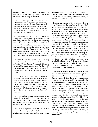activities of their subordinates." To buttress his recommendation, the Attorney General pointed out that the FBI and military intelligence:

"... have not only gathered a tremendous reservoir of information concerning foreign agencies operating in the United States, but have also perfected methods of investigation and have developed channels for the exchange of information, which are both efficient and so mobile and elastic as to permit prompt expansion in the event of an emergency."

Murphy stressed that the FBI was "a highly skilled investigative force supported by the resources of an exceedingly efficient, well equipped, and adequately manned technical laboratory and identification division." This identification data related "to more than ten million persons, including a very large number of individuals of foreign extraction." The Attorney General added, "As a result of an exchange of data between the Departments of Justice, War and Navy, comprehensive indices have been prepared."87

President Roosevelt agreed to the Attorney General's proposal and sent a confidential directive drafted by FBI and Justice Department officials to the heads of the relevant departments. This June 1939 directive was the closet thing to a formal charter for the FBI and military domestic intelligence: It read as follows:

It is my desire that the investigation of all espionage, counterespionage, and sabotage maters be controlled and handled by the Federal Bureau of Investigation of the Department of Justice, the Military Intelligence Division of the War Department, and the Office of Naval Intelligence in the Navy Department. The Directors of these three agencies are to function as a committee to coordinate their activities.

No investigations should be conducted by an investigative agency of the Government into matters involving actually or potentially any espionage, counterespionage, or sabotage, except by the three agencies mentioned above.

I shall be glad if you will instruct the heads of all other investigative agencies than the three named, to refer immediately to the nearest office of the Federal

Bureau of Investigation any data, information, or material that may come to their notice bearing directly or indirectly on espionage, counterespionage, or sabotage. <sup>88</sup> (Emphasis added.)

The legal implications of this directive are clouded by its failure to use the term "subversive activities" and its references instead to *potential* espionage or sabotage and to information bearing *indirectly* on espionage or sabotage. This language may have been an effort by the Justice Department and the FBI to deal with the problem of legal authority posed by the break with the State Department. Since the FBI no longer wanted to base its domestic intelligence investigations on State Department requests, some other way had to be fond to retain a semblance of congressional authorization. Yet the scope of the FBI's assignment made this a troublesome point. In 1936, President Roosevelt had wanted intelligence about Communist and Fascist activities generally, not just data bearing on potential espionage or sabotage; and the 1938 plan provided for the FBI to investigative "activities of either a subversive or a so-called intelligence type."<sup>89</sup> There is no indication that the President's June 1939 directive had the intent or effect of limiting domestic intelligence to the investigation of violations of law.

Consistent with the FBI Director's earlier desires, these arrangements were kept secret until September 1939 when war broke out in Europe. At that time Director Hoover decided that secrecy created more problems that it solved, especially with regard to the activities of local law enforcement. He learned that the New York City Police Department had "created a special sabotage squad of fifty detectives . . . and that this squad will be augmented in the rather near future to comprise 150 men." There had been "considerable publicity" with the result that private citizens were likely to transmit information concerning sabotage "to the New York City Police Department rather than the FBI." Calling this development to the attention of the Attorney General, the Director strongly urged that the President "issue" a statement or request addressed to all police officials in the United States: asking them to turn over to the FBI "any information obtained pertaining to espionage, counterespionage, sabotage, and neutrality regulations."<sup>90</sup>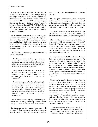A document to this effect was immediately drafted in the Attorney General's office and dispatched by messenger to the White House with a note from the Attorney General suggesting that it be issued in the form of "a public statement."<sup>91</sup> In recording his discussions that day with the Attorney General's assistant. Alexander Holtzoff. FBI official E. A. Tamm referred to the statement as "an Executive Order." Tamm also talked with the Attorney General regarding "the order":

Mr. Murphy stated that when he was preparing this he tried to make it as strong as possible. He requested that I relay this to Mr. Hoover as soon as possible and stated he knew the Director would be very glad to hear this. Mr. Murphy stated he prepared this one on the basis of the memorandum, which the Director forwarded to him.<sup>92</sup>

The President's statement (or order or Executive Order) read as follows:

The Attorney General has been requested by me to instruct the Federal Bureau of Investigation of the Department of Justice to take charge of investigative work in matters relating to espionage, sabotage, and violations of the neutrality regulations.

This task must be conducted in a comprehensive and effective manner on a national basis, and all information must be carefully sifted out and correlated in order to avoid confusion and irresponsibility.

To this end I request all police officers, sheriffs, and other law enforcement officers in the United States promptly to turn over to the nearest representative of the Federal Bureau of Investigation any information obtained by them relating to espionage, counterespionage, sabotage, subversive violations activities and  $of$ the neutrality laws.<sup>93</sup>

The statement was widely reported in the press, along with the following remarks by Attorney General Murphy at a news conference held the same day:

Foreign agents and those engaged in espionage will no longer find this country a happy hunting ground for their activities. There will be no repetition of the confusion and laxity and indifference of twenty vears ago.

We have opened many new FBI offices throughout the land. Our men are well prepared and well trained. At the same time, if you want to this work done in a reasonable and responsible way it must not turn into a witch-hunt. We must do no wrong to any man.

Your government asks you to cooperate with it. You can turn in any information to the nearest local representative of the Federal Bureau of Investigation.<sup>94</sup>

Three weeks later Murphy reiterated that the government would "not act on the basis of hysteria." He added, "Twenty years ago inhuman and cruel things were done in the name of Justice; sometimes vigilantes and others took over the work. We do not want such things done today, for the work has now been localized in the FBI."95

Two days after issuing the FBI statement, President Roosevelt proclaimed a national emergency "in connection with and to the extent necessary for the proper observance, safeguarding, and enforcing of the neutrality of the United States and the strengthening of our national defense within the limits of peacetime authorizations." The proclamation added, "Specific direction and authorizations will be given from time to time for carrying out these two purposes."96

Thereupon, he issued an Executive Order directing the Attorney General to "increase the personnel of the Federal Bureau of Investigation, Department of Justice, in such number, not exceeding 150, as he shall find necessary for the proper performance of the additional duties imposed upon the Department of Justice in connection with the national emergency."97 President Roosevelt told a press conference that the purpose of this order expanding the government's investigative personnel was to protect the country against "some of the things that happened" before World War I:

There was sabotage; there was a great deal of propaganda by both belligerents, and a good many definite plans laid in this country by foreign governments to try to sway American public opinion.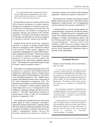... It is to guard against that, and against the spread by any foreign nation of propaganda in this country, which would tend to be subversive-I believe that is the world—of our form of government.<sup>98</sup>

President Roosevelt never formally authorized the FBI or military intelligence to conduct domestic intelligence investigations of "subversive activities," except for his oral instruction in 1936 and 1938. His written directives were limited to investigations of espionage, sabotage, and violations of the neutrality regulations. Nevertheless, the President clearly knew of and approved informally the broad investigations of "subversive activities" carried out by the FBI.

President Roosevelt did use the term "subversive activities" in a directive to Attorney General Robert Jackson on wiretapping in 1940. This directive referred to the activities of other nations "engaged in the organization of propaganda of so-called 'fifth columns'" and in "preparation for sabotage." The Attorney General was directed to authorize wiretapping "of persons suspected of subversive activities against the Government of the United States, including suspected spies." The President also instructed that such wiretaps be limited "insofar as possible to aliens."<sup>99</sup>

With respect to investigations generally, however, the confusion as to precisely what President Roosevelt authorized is indicated by Attorney General Francis Biddle's description of FBI jurisdiction in 1942 and by a new Presidential statement in 1943. Biddle issued a lengthy order defining the duties of the various parts of the Justice Department in September 1942. The pertinent section relating to the FBI stated that it had a duty to "investigative" criminal offenses against the United States and to act as a "clearing house" for the handling of "espionage, sabotage, and other subversive matters."<sup>100</sup> This latter "clearing-house" function was characterized as a duty to "carry out" the President's directive of September 6, 1939.

Four months prior, President Roosevelt renewed his public appeal for "police cooperation" and added a request that "patriotic organizations" cooperate with the FBI. This statement describes his September 1939 order as granting "investigative" authority to the FBI and not simply a "clearing-house" function. However, the President defined that authority as limited to "espionage, sabotage, and violations of the neutrality regulations" without any mention of "subversion."<sup>101</sup>

The statement was consistent with Attorney General Biddle's internal directive later in 1943 that the Justice Department's "proper function" was "investigating the activities of persons who may have violated the law."<sup>102</sup>

A similar problem is involved with the authority for "counterespionage" operations by the FBI and military intelligence. President Roosevelt's confidential order of June 1939 explicitly authorized the FBI and military intelligence to handle counterespionage matters, and the 1938 plan used the terms "counter-espionage" and "counter-intelligence." However, none of the President's public directives formally authorized counterespionage measures going beyond investigation; and the Justice Department's regulations made no reference to this responsibility.

#### **Presidential Directive**

Directive of the President of the United States June 26, 1939:

"It is my desire that the investigation of all espionage, counterespionage, and sabotage matters be controlled and handled by the Federal Bureau of Investigation of the Department of Justice, the Military Intelligence Division of the War Department, and the Office of Naval Intelligence of the Navy Department. The directors of these three agencies are to function as a committee to coordinate their *activities*.

"No investigations should be conducted by any investigating agency of the Government into matters involving actually or potentially any espionage, counterespionage, or sabotage, except by the three agencies mentioned above.

"I shall be glad if you will instruct the heads of all other investigative agencies that the three named, to refer immediately to the nearest office of the Federal Bureau of Investigation any data, information, or material that may come to their notice bearing  $\mathfrak{o} n$ directly  $or$ indirectly espionage, counterespionage, or sabotage."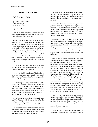# **Letters To/From ONI**

#### **H.G. Dohrman to Ellis**

369 South Pacific Avenue Pittsburgh, Penna. April seventh 1934

My dear Captain Ellis:-

Have been much disquieted lately by the news constantly trickling in revealing the very widespread scope of existent radical activities.

My own impression is that the calling of the strike at the works of the New York Shipbuilding and Drydock Co., was a tactical error, for thereby it focused the attention of the nation upon the danger to the nation of the interruption of our belated shipbuilding program. Some master mind among the radicals must have been asleep for they well know that strikes called in a half-dozen or more plants fabricating essential elements of naval construction will as effectually block progress towards the completion of the ships, as will a single prominent strike

Deem it unfortunate that it was publicly noted that the modernization of two ships of the battleship squadron was advisedly postponed.

I write with the full knowledge of the fact that no emergency requires the return to active duty as such officers as myself and that therefore no compensation is either asked or expected.

For something over one year, while attached to the Bureau of Ordnance, worked under the late Commander A.L. Norton, on a very extensive program of anti-radical work, directed towards uncovering such movements, issuing advance warnings of all those likely to interrupt the continuous flow of navy material, or to be destructive to life and property.

My understanding, through my old time friend the late Vice-Admiral Niblack, was to the effect that Intelligence was kept advised of our movements as made or proposed. My number was " $7 - 6$ ".

We were able at that time to command, without expense, the services of the intelligence divisions of several of our greatest corporations, of men prominent alike in civil life and the clergy.

It is not purpose to convey to you the impression that the excellence of that service, and numerous commendatory letters and verbal statements, indicated that it was distinctly serviceable, can be repeated.

Wide and continued travel was necessary and much personal, as well as departmental, expense was incurred. Like almost every other man in business have suffered reverses that prohibit personal expenditures of that nature; however, my desire to be of service to the Navy is as ardent as it has been these forty-odd years.

The basis of that war time interchange of information was based on the inviolability of all such information, which was received, digested and the important portions forwarded where needed. Such Navy information as it was not incompatible with the public interests to reveal was passed along and information from private conversations between Captain Norton and myself and sources were never mentioned.

This afternoon, in the course of a two hour conversation with the executive head of the greatest of these private intelligence organizations, he expressed a willingness to renew in somewhat the same form the old relations. As a matter of fact this man and myself have almost weekly conversations and exchange information upon such subjects, for I still keep in touch with several of the best of our former men. One in particular visits constantly every place of consequence on the Mississippi and all of its tributaries, covering the entire Middle West. inclusive of the extreme northern and southern portions thereof. I am confident that he will gladly report conditions exactly as he finds them, and I may say that such reports as he may make can be absolutely relied upon. Have known him well for thirty-five years, he is professionally highly competent and his judgment sound.

If the idea appeals to you believe I can secure for you the cooperation of at least three of the nation's greatest industrial intelligence organizations, whose services will not cost the Bureau a penny. My own duty would be to act in the capacity of a screen, removing all non-essential information before forwarding the result to you.

I shall be glad to contribute as much time as possible and postage, unless it is in the end the latter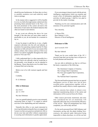should become burdensome, for these days we have to carefully scrutinize even such relatively small items as postage.

In the manner above suggested it will be feasible to cover, in a fairly thorough manner, radical activities promising future potential harm to the Navy, over the most prominent of the centers devoted to the fabrication of steel and to the kindred industries that often are found in steel districts.

In any event am offering the above for your thought; if the idea does not seem either sound or practicable to you, do not hesitate for a moment to say so.

It may be proper to add that in, to me, a highly expensive adventure into the soft coal industry, as president of an operating company kept the Tri-State Operators so fully advised of every movement of the military strikers, that violence and loss of life in our district was almost negligible throughout the strike period of 1922 and 1923.

I fully understand that it is often impossible for a Bureau Chief to do officially what he would like to do personally, even though no cost be attached to the Bureau. I know that much even if we didn't have a General McCord in that day.

Believe me to be with warmest regards and best wishes.

Cordially,

H. G. Dohrman

#### **Ellis to Dohrman**

 $On-16-B-2$ Apr 12, 1934

My dear Dohrman:

I am very grateful indeed to receive your extremely interesting letter of April 7<sup>th</sup> in regard to radical activities in the shipbuilding and steel industries.

Naturally this office is very much interested in receiving information along the lines you suggest and I assure you that your generous and patriotic offer to devote your time and effort without compensation to securing such information is greatly appreciated.

If you can arrange to keep in touch with the private intelligence organizations which you mention and secure a flow of information regarding the current activities of radical groups, I shall be very glad to provide for the matter of postage.

Thanking you for your communication and with assurance of my personal regards.

Very sincerely,

/s/ Hayne Ellis Rear Admiral, U.S.N., Director of Naval Intelligence

#### Dohrman to Ellis

April twentieth 1934

My dear Admiral

Thank you for your cordial letter of the 18<sup>th</sup>, I sincerely hope that your ten days leave will prove to be both pleasant and beneficial.

Am now able to definitely say that we will have the hearty cooperation of the following:-

> The Aluminum Company of America, The Carnegie Steel Corporation, The Jone and Laughlin Steel Corporation, and The National Steel Corporation

The first and fourth at present time have no special intelligence service of their own, but do have excellent police organizations together with an unofficial but usually effective inside organization.

These concerns have plants in almost every important manufacturing district of the nation and information will be received from all of them.

Other sources previously mentioned, and some only considered but not yet mentioned, will materially add to the area covered and the efficiency of the service. When all arrangements have been completed, you will be duly advised.

If a list can be procured from C&R Ordnance and Aeronautics giving only the plants holding Navy contracts, the material under fabrication being impossible to obtain elsewhere, we will do our best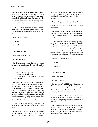to advise all such plants in advance of visits from agitators, etc. Plants making material that can be secured from numerous other plants of like type need not be included in such lists. The material being fabricated or the amounts of the several contracts are immaterial: our sole aim will be to insure, if possible, the uninterrupted flow of Navy material.

So far all former members of our old wartime organization who have been approached and had the situation explained to them, have agreed to go along with us.

With sincere good wishes,

Cordially,

 $/s/ H.G.$  Dohrman

#### **Dohrman to Ellis**

April twenty-seventh, 1934

My dear Admiral:-

Supplementing my informal report of progress made as of the twentieth, am glad to be able to advise you that negotiations have been closed with the following:

New York Central Ry. Lines The Pennsylvania Railroad The Westinghouse Electric & Mfg. Co., and, D.W. Sowers.

The latter is the executive head of a very efficient Buffalo (N.Y.) organization, maintained at private expense and not for profit, whose business it has been for approximately twenty years to combat radicalism. I know by experience in cooperating with it in the past how very efficient it has been. Mr. Sowers is president of a large manufacturing concern there that bears his name., and he had promised us cordial and prompt cooperation. His card files contain the names of some 4,000 actual and semi-radicals.

When our intelligence clearing house once gets going in good shape, we hope that it will be of value to you.

You will note that we gave covered, with the exception of the New England, Southern and far Western states, the heart of the nation's manufacturing, and through one of my old men, to whom previous reference has been made, a considerable portion of the South will likewise be covered.

As you will appreciate, it is something of a task to coordinate these varied sources of information, and to put the information received into shape for instant dissemination.

The time is certainly ripe for action. There were no evening papers here today, one paper had it's large windows smashed with bricks, etc. A strike of the folders.

In each case those cooperating with us have been advised, in advance, that the sources of information would not be revealed, and that each participant would receive only the information appertaining or useful to them. Some of those interested with us have excellent organizations already, others possess the nucleus. As often hapens the organization that needs it most has the poorest present service of information.

With best wishes and regards,

Cordially,

H.G. Dohrman

#### **Dohrman to Ellis**

April thirtieth 1934

My Dear Admiral:-

The enclosure<sup>103</sup> will illustrate the method of gleaning information adopted. You already know the institutions whose intelligence service has been placed at our disposal and with whom we now arranging inter-communicating services.

If you have two or three hundred of the green second sheets, like the enclosure, can use them to advantage. The green gives quick identification in our files.

The enclosure represents the 18 plants employing almost 17,000 men, the plants being distributed throughout the states enumerated, and all, as you have doubtless already gathered from the keyed numbers, being those of a single concern.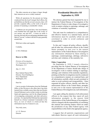The other concerns are as large or larger, though their interests are not so widely scattered.

While all operations for the present are being conducted from the local Carnegie Steel offices, the probabilities are that the several concerns, later, will provide a separate office, as the work so far gives promise of assuming a considerable volume.

Conditions are not good here; four local theatres were bombed here last night due to the rivalry of two unions, one anti-AFL. A street car strike is brewing, the truck drivers and garage attendants seem likely to "go out," so there is the devil to pay generally around here.

With best wishes and regards,

Cordially,

/s/ H.G. Dohrman

#### **Hoover to Ellis**

Division of Investigation **U.S.** Department of Justice Washington, D.C.

May 21, 1934

Rear Admiral Hayne Ellis Director, Naval Intelligence Navy Department Washington, D.C.

Dear Sir:

I am in receipt of information from the Pittsburgh Office of this Division to the effect that it has been learned from a reliable source there that one Horatio Garrott Dohrman is active in that vicinity in soliciting funds and organizing a unit for the alleged purpose of investigating communistic and other subversive activities. It is reported that Dohrman has represented himself as a former Lieutenant Commander in the Navy, in view of which it is believed that this information may be of interest to you.

Very truly yours,

/s/ J. E. Hoover Director

# **Presidential Directive Of** September 6, 1939

The attorney general has been requested by me to instruct the Federal Bureau of Investigation of the Department of Justice to take charge of investigative work in matters relating to espionage, sabotage, and violations of neutrality regulations.

This task must be conducted in a comprehensive and effective manner on a national basis, and all information must be carefully sifted out and correlated in order to avoid confusion and irresponsibility.

To this end I request all police officers, sheriffs, and all other law enforcement officers in the United States promptly to turn over to the nearest representative of the Federal Bureau of Investigation any information obtained by them relating to espionage, counterespionage, sabotage, subversive activities and violations of the neutrality law.

#### **Police Cooperation**

On September 6, 1939, I issued a directive providing that the Federal Bureau of Investigation of the Department of Justice should take charge of investigative work in matters relating to espionage, sabotage, and violations of the neutrality regulations, pointing out that the investigations must be conducted in a comprehensive manner, on a national basis, and all information carefully sifted out and correlated in order to avoid confusion and irresponsibility. I then requested all police officers, sheriffs, and other law enforcement officers in the United States, promptly to turn over to the nearest representatives of the Federal Bureau of Investigation any such information.

I am again calling the attention of all enforcement officers to the request that they report all such information promptly to the nearest field representative of the Federal Bureau of Investigation, which is charged with the responsibility of correlating this material and referring matters which are under the jurisdiction of any other Federal agency with responsibilities in this field to the appropriate agency.

I suggest that all patriotic organizations and individuals likewise report all such information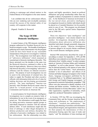relating to espionage and related matters to the Federal Bureau of Investigation in the same manner.

I am confident that all law enforcement officers, who are now rendering such invaluable assistance toward the success of the internal safety of our country, will cooperate in this matter.

(Signed) Franklin D. Roosevelt

# The Scope Of FBI **Domestic Intelligence**

A central feature of the FBI domestic intelligence program authorized by President Roosevelt was its broad investigative scope. The breadth of intelligence gathering most clearly demonstrates why the program could not have been based on any reasonable interpretation of the power to investigative violations of law. The investigations were built upon a theory of "subversive infiltration" which remained an essential part of domestic intelligence thereafter. This theory persisted over the decades in the same way the Roosevelt directives continued in effect as the basis for legal authority. Moreover, there was a direct link between the policy of investigating "subversive" influence and the reliance on inherent executive power. The purpose of such investigations was not to assist in the enforcement of criminal laws, but rather to supply the President and other executive officials with information believed to be of value for making decisions and developing governmental policies. The "pure intelligence" function was precisely what President Roosevelt meant when he asked for "a broad picture" of the impact of Communism and Fascism on American life.

A second purpose for broad domestic intelligence investigations was to compile an extensive body of information for use in the event of an emergency or actual war. This information would supply the basis for taking preventive measures against groups or individuals disposed to interfere with the national defense effort. If such interference might take the form of sabotage or other illegal disruptions of defense production and military discipline the collection of preventive intelligence was related to law enforcement. But the relationship was often

remote and highly speculative, based on political affiliations and group membership rather than any tangible evidence of preparation to commit criminal acts. As the likelihood of American involvement in the war moved closer, preventive intelligence investigations focused on whether individuals should be placed on a Custodial Detention List for possible arrest in case of war. This program was developed joint by the FBI and a special Justice Department unit in 1940-1941.

These two objectives–"pure intelligence" and preventive intelligence—were closely related to one another. Investigations designed to produce information about subversive infiltration also identified individuals thought potentially dangerous to the country's security. Likewise, investigations of persons alleged to be security threats contributed to the overall domestic intelligence picture.

Internal FBI instructions described the scope of surveillance in detail. On September 2, 1939, all FBI field offices were ordered to review their files and secure information from "reliable contacts" in order to prepare reports on "persons of German, Italian, and Communist sympathies," as well as other persons "whose interest may be directed primarily to the interest of some other nation than the United States." Such information included "a list of subscribers" and officers of all German and Italian language newspapers in the United States, language newspapers published by the Communist Party or "its affiliated organizations," and both foreign and English language newspapers "of pronounced or notorious Nationalistic sympathies." FBI offices were also instructed to identify members of all German and Italian societies, "whether they be of a fraternal character or of some other nature," and of "any other organization, regardless of nationality, which might have produced Nationalistic tendencies."<sup>104</sup>

In October 1939 the FBI was investigating the Communist Party and the German American Bund, using such techniques as "the employment of informants," "research into publications," "the soliciting and obtaining of assistance and information from political émigrés, and organizations which have for their purpose the maintenance of files of information bearing upon this type of study and inquiry," and "the attendance of mass meetings and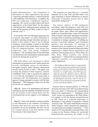public demonstrations." The compilation of information on other organizations and groups "expressing nationalist leanings" continued pursuant to the September 1939 instructions. In addition, the FBI was conducting "confidential inquiries" regarding "the various so-called radical and fascist organizations in the United States" for the purpose of identifying their "leading personnel, purposes and aims, and the part they are likely to play at a time of national crisis."105

In November 1939, the FBI began preparing a list of specific individuals "on whom information is available indicating strongly that (their) presence at liberty in this country in time of war or national emergency would constitute a menace to the public peace and safety of the United States Government." The list comprised persons "with strong Nazi tendencies" and "with strong Communist tendencies." The citizenship status of each individual was determined, and cards prepared summarizing the reasons for placing him on the list.<sup>106</sup>

FBI field offices were instructed to obtain information on such persons from "public and private" records, confidential sources of information, newspaper morgues, public libraries, employment records, school records, et cetera." FBI agents were to keep the purpose of their inquiries "entirely" confidential" and to reply to questions by stating as a cover that the investigation was being made in connection with "the Registration Act requiring agents of foreign principals to register with the State Department." FBI headquarters supervisors divided the list into two categories:<sup>107</sup>

**Class #1.** Those to be apprehended and interned immediately upon the outbreak of hostilities between the government of the United States and the Government they service, support, or owe allegiance to.

**Class #2.** Those who should be watched carefully at and subsequent to the outbreak of hostilities because their previous activities indicate the possibility but not the probability that they will act in a manner adverse to the best interests of the Government of the United States.<sup>108</sup>

This program was described as a "custodial" detention" list in June 1940, and field offices were again instructed to furnish information on persons possessing "Communist, Fascist, Nazi or other nationalistic background."<sup>109</sup>

The primary subjects of FBI intelligence surveillance under this program in mid-1940 were active Communists (including Communist candidates for public offices, party officers and organizations, speakers at Communist rallies, writers of Communist books or articles, individuals "attending Communistic meetings where revolutionary preachings are given," Communists in strategic operations "or holding any position of potential influence" and Communist agitators who participate "in meetings or demonstrations accompanied by violence"), all members of the German-American Bund and similar organizations, Italian Fascist organizations and American Fascist groups such as "Silver Shirts, Ku Klux Klan, White Camelia, and similar organizations."<sup>110</sup> Director Hoover summarized these "subversive activities" in a memorandum to the Justice Department:

The holding of official positions in organizations such as the German-American Bund and Communist groups; the distribution of literature and propaganda favorable to a foreign power and opposed to the American way of life; agitators who are adherents of foreign ideologies who have for their purpose the stirring up of internal strike (sic), class hatreds and the development of activities which in time of war would be a serious handicap in a program of internal security and national defense...<sup>111</sup>

Director Hoover claimed publicly in 1940 that advocates of foreign "isms" had "succeeded in boring into every phase of American life, masquerading behind front organizations."<sup>112</sup> Intelligence about "front" groups was transmitted to the White House. For example, in 1937 the Attorney General had sent an FBI report on a proposed pilgrimage to Washington to urge passage of legislation to benefit American youth. The report stated that the American Youth Congress, which sponsored the pilgrimage, was understood to be strongly Communistic. <sup>113</sup> Later reports in 1937 described the Communist Party's role in plans by the Workers Alliance for nationwide demonstrations protesting the plight of the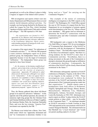unemployed, as well as the Alliance's plans to lobby Congress in support of the federal relief systems.<sup>114</sup>

FBI investigations and reports (which went into Justice Department and FBI permanent files) covered entirely lawful domestic political activities. For example, one local group checked by the Bureau was called the League for Fair Play, which furnished "speakers to Rotary and Kiwanis Clubs and to schools and colleges." The FBI reported in 1941 that:

"...the organization was formed in 1937, apparently by two Ministers and a businessman for the purpose of further fair play, tolerance, adherence to the Constitution, democracy, liberty, justice, understanding and good will among all creeds, races and classes of the United States."

A synopsis of the report stated, "No indications of Communist activities."<sup>115</sup> In 1944 the FBI prepared a more extensive intelligence report on an active political group, the Independent Voters of Illinois, apparently because it was the target of Communist "infiltration." The Independent Voters group was reported to have been formed:

"...for the purpose of developing neighborhood political units to help in the re-election of President Roosevelt and the election of progressive congressmen. Apparently, IVI endorsed or aided democrats for the most part, although it was stated to be "independent." It does not appear that it entered its own candidates or that it endorsed any Communists. IVI sought to help elect those candidates who would favor fighting inflation, oppose race and class discrimination, favor international cooperation, support a "fullemployment program," oppose Fascism, etc."116

Thus, the Bureau gathered data about left-liberal groups in its search for subversive "influence." At the opposite end of the political spectrum, the activities of numerous right-wing groups like the Christian Front and Christian Mobilizers (followers of Father Coughlin), the American Destiny Party, the American Nationalist Party, and even the less extreme "America First" movement were reported by the FBI. <sup>117</sup>

The Bureau even looked into a Bronx, New York, child center which was "apparently dominated and run" by Communists to determine whether it was being used as a "front" for carrying out the Communist Program.<sup>118</sup>

One example of the nature of continuing intelligence investigations is the FBI's reports on the NAACP. The Washington, D.C. Field Office opened the case in 1941 because of a request from the Navy Department for an investigation of protests against racial discrimination in the Navy by "fifteen colored mess attendants." FBI agents used an informant to determine the NAACP's "connections with the Communist party and other Communist controlled organizations."119

FBI headquarter sent a request to the Oklahoma City field Office in August 1941 for an investigation of "Communist Party domination" of the NAACP in connection with the development of "Nationalistic Tendency Charts." The field office report concluded, on the basis of an informant's reports, "that there is a strong tendency for the NAACP to steer clear of Communistic activities. Nevertheless, there is a strong movement on the part of the Communists to attempt to dominate this group through an infiltration of communistic doctrines. Consequently, the activities of the NAACP will be closely observed and scrutinized in the future 120

FBI informants subsequently reported on NAACP conferences at Hampton, Virginia, in the fall of 1941 at Los Angeles in the summer of 1942. These investigations were conducted "to follow the activities of the NAACP and determine further the advancement of the Communist group has made into that organization."<sup>121</sup> Similar reports came to headquarters from field offices in Richmond, Virginia; Springfield and Chicago, Illinois; Boston, Massachusetts; Oklahoma City, Oklahoma; Indianapolis, Indiana; Savannah, Georgia; and Louisville, Kentucky, in 1942-1943. Informants were used to report on efforts "to place before the NAACP certain policies or ideas which ...may be favorable to the Communist Party."<sup>122</sup> An informant attended an NAACP convention in South Carolina in June 1943 and reported on his conversations with NAACP counsel Thurgood Marshall. The informant believed that Marshall was "a loyal American" and "would not permit anything radical to be done."<sup>123</sup>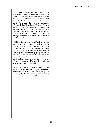Informants for the Oklahoma City Field Office reported on Communist efforts to "infiltrate" the NAACP and advised that the Communist Party would "be active" at a forthcoming NAACP conference.<sup>124</sup> On the other hand, an informant for the Chicago office reported "no evidence that there is any Communist infiltration in the Chicago branch."<sup>125</sup> And informants for the Detroit office advised that there were "numerous contacts by the CP members and NAACP members, some collaboration on issues which affect negroes, presence of CP members at NAACP meetings, interest of CP in NAACP, but no evidence of CP control."126

FBI investigation of the NAACP reflected in these and other reports to headquarters produced massive information in Bureau files about the organization, its members, their legitimate activities to oppose racial discrimination, and internal disputes with some of the chapters. One thirty-five page report contained the names of approximately 250 individuals and groups, all indexed in a table of contents.<sup>127</sup> The reports and their summaries contained little if any information about specific activities or planned activities in violation of federal law.

The scope of the information compiled through these investigations of alleged Communist "infiltration" is indicated by FBI estimate that by 1944 "almost 1,000,000 people knowingly or unknowingly had been drawn into Communist-Front activity."<sup>128</sup>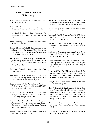# **CI Between the World Wars Bibliography**

- Ahern, James F. Police in Trouble. New York: Hawthorn Books, 1972.
- Allen, Frederick Lewis. The Big Change: America Transforms Itself. New York: Harper, 1952.
- Allen, Frederick Lewis. Since Yesterday: The Nineteen Thirties in America. New York: Harper, 1940.
- Bailey, Geoffrey. The Conspirators. New York: Harper and Row, 1960.
- Belknap, Michael R. "The Mechanics of Repression: J. Edgar Hoover, the Bureau of Investigation and the Radicals 1917-1925." Crime and Social Justice 7 (Spring-Summer 1977): 49-58.
- Bentley, Eric, ed. Thirty Years of Treason: Excerpts from Hearings before the House Committee on Un-American Activities, 1938-1968. New York: Viking Press, 1972.
- Berkman, Alexander. Prison Memoirs of an Anarchists. New York: Mother Earth, 1912.
- Berle, Adolf Augustus. Navigating the Rapids, 1918-1971: From the Papers of Adolf A. Berle. New York: Harcourt Brace Jovanovich, 1973.
- Blackstock, Paul W. The Secret Road to World War II: Soviet versus Western Intelligence 1921-1939. Chicago, Quadrangle, 1969.
- Blackstock, Paul W. The Strategy of Subversion: Manipulating the Politics of Other Nations. Chicago: Quadrangle Books, 1964.
- Blackstock, Paul W., and Scaf, Frank L. Intelligence, Espionage, Counterespionage and Covert Operations: A Guide to Information Sources. Detroit: Gale Research Co. 1978.
- Bohlen, Charles E. Witness to History, 1929-1969. New York: W.W. Norton, 1973.
- Brook-Shepherd, Gordon. The Storm Petrels: The Flight of the First Soviet Defectors 1928-1938. New York: Harcourt Brace Jovanovich, 1978.
- Coben, Stanley. A. Mitchell Palmer: Politician. New York: Columbia University Press, 1963.
- Dorwart, Jeffrey M. Conflict of Duty: The U.S. Navy's Intelligence Dilemma, 1919-1945. Annapolis, MD: Naval Institute Press, 1983.
- Deacon, Richard. Kempei Tai: A History of the Japanese Secret Service. New York: Beaufort, 1983.
- FitzGibbob, Constantine. Secret Intelligence in the Twentieth Century (Cryptologia). London: Hart-Davis, MacGibbon, 1976.
- Flicke, Wilhelm F. War Secrets in the Ether. 2 Vols. Vol. I (parts  $1 \& 2$ ): to World War II; Vol. II (part 3) : World War II. Laguna Hills, Calif.: Aegean Books, 1977.
- Friedman, William F. and Mendelsohn, Charles J. The Zimmerman Telegram of January 16, 1917 and its Cryptographic Background. Laguna Hills, California. Aegean Park Press, 1976.
- George, Willis D. Surreptitious Entry. New York: Appleton-Century, 1946.
- Hall, W. Reginald & Peaslee, Amos J. Three Wars with Germany. Edited and illustrated by Joseph P. Sims. New York: G. P. Putnam's Sons, 1944. Henry, Fred. "Japanese Espionage and Our Psychology for Failure." U.S. Naval Institute Proceedings 69 (May 1943): 639-641.
- Hynd, Alan. Betrayal from the East: The Inside Story of Japanese Spies in America. New York: McBride, 1943.
- Kahn, David. "The Annotated The American Black Chamber." Cryptologia 9:1 (1985): 1-37.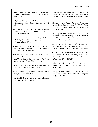- Kahn, David. "A New Source for Historians: Yardley's Seized Manuscript." Cryptologia 6:2  $(1982)$  115-118.
- Kruh, Louis. "Stimson, the Black Chamber, and the 'Gentlemen's Mail' Quote." Cryptologia 12:2  $(1988)$  65-89.
- May, Ernest K. The World War and American Isolation, 1914-1917. Cambridge: Harvard University Press, 1956.
- Murray, Robert K. The Red Scare: A Study in National Hysteria, 1919-1920. Minneapolis: University of Minnesota Press, 1955.
- Nicolai, Walther. The German Secret Service: German Military Intelligence during World War I. London: Stanley Paul, 1924.
- Rintelen, Franz von Kleist. The Dark Invader: Wartime Reminiscences of a German Naval Intelligence Officer (Sabotage against the United States) London: Lovat, Dickson, 1933.
- Rowan, Richard W. Secret Agents Against America. New York: Doubleday, Doran, 1939.
- Rowan, Richard W. Spies and the Next War. Garden City, NY: Doubleday, 1934.
- Seth, Ronald. Encyclopedia of Espionage. London: New English Library, 1972.
- Strong, Kenneth. Men of Intelligence: A Study of the Roles and Decisions of Chiefs of Intelligence From World War I to the Present Day. London: Cassell, 1970.
- U.S. Army Security Agency. Historical Background of the Signal Security Agency, Vol. III. The Peace 1919-1939. Washington, DC: Army Security Agency, 1946.
- U.S. Army Security Agency. History of Codes and Ciphers in the U.S. During the Period Between the Wars. Part I. 1919-1929. Laguna Hills, CA: Aegean Park Press, 1979.
- U.S. Army Security Agency. The Origins and Development of the Army Security Agency, 1917-1947. Laguna Hills, CA: Aegean Park Press, 1978.
- Williams, David. "The Bureau of Investigation and Its Critics, 1919-1921: The Origins of Federal Political Surveillance." Journal of American History 68 (1981): 560-579.
- Williams, David. "Failed Reforms: FBI Political Surveillance, 1924-1936." First Principles 7:1  $(1981): 1-4.$
- Yardley, Herbert Osborne. The American Black Chamber. The Bobbs-Merrill Company Indianapolis, 1931.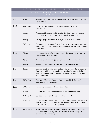# THE PERIOD BETWEEN THE WORLD WARS,

| 1920 | 1 January   | The 'Red Raids," also known as the 'Palmer Red Raids," and the 'Slacker<br>Raids"initiated.                                                                                                                                                                                |
|------|-------------|----------------------------------------------------------------------------------------------------------------------------------------------------------------------------------------------------------------------------------------------------------------------------|
| 1921 | 16 January  | Public backlash against the 'Palmer' raids prompted a Senate<br>investigation.                                                                                                                                                                                             |
|      | 6 June      | Army establishes Signal Intelligence Service (later renamed the Signal<br>Security Agency (1 June 1943) and 4 Nov 1952 became NSA.                                                                                                                                         |
|      | 19 May      | Emergency Quota Act restricts immigration to 3% of 1910 census.                                                                                                                                                                                                            |
|      | 23 December | President Harding pardons Eugene Debs and others convicted under the<br>Sedition Act of 1918 and other measures designed to curb dissent during<br>World War I.                                                                                                            |
| 1924 | 26 May      | National Origins Act places strict quotas on European immigration and<br>bars all immigration from Asia.                                                                                                                                                                   |
|      | 1 July      | Japanese condemn immigration humiliation in "Hate America" rallies.                                                                                                                                                                                                        |
|      | 10 May      | J. Edgar Hoover is appointed head of Bureau of Investigation.                                                                                                                                                                                                              |
| 1928 | 4 June      | Supreme Courts upholds Olmstead Case that use of wiretap evidence in a<br>federal court did not by itself violate constitutional guarantees in the 4 <sup>th</sup><br>and 5 <sup>th</sup> Amendments against unreasonable searches and seizures and<br>self-incrimination. |
| 1929 | 29 October  | Secretary of State withdraws funding from the 'Black Chamber,"<br>effectively abolishing the office.                                                                                                                                                                       |
| 1933 | 30 January  | Hitler is appointed as the German Chancellor.                                                                                                                                                                                                                              |
|      | 7 June      | Congress authorizes use of subpoena power in sabotage cases.                                                                                                                                                                                                               |
|      | 16 November | US establishes diplomatic relations with the Soviet Union.                                                                                                                                                                                                                 |
|      | 27 August   | Corp. R. Osman court-martialed for violating Espionage Act. Sentenced to<br>two years hard labor and fined \$10,000. President Roosevelt orders new<br>trial in 1934. He was acquitted on 21 May.                                                                          |
| 1934 | 15 December | Japan asks France, England, and U.S. for removal of diplomatic status<br>from Army and Navy language officers in Tokyo as one is suspected of<br>espionage. U.S. grants request.                                                                                           |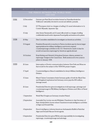# THE PERIOD BETWEEN THE WORLD WARS,

| 1936 | 12 December | German pro-Nazi Bund societies formed as "Amerika-deutscher<br>Volkbund," ostensibly devoted to social and athletic pursuits.                                                                                                                                                |
|------|-------------|------------------------------------------------------------------------------------------------------------------------------------------------------------------------------------------------------------------------------------------------------------------------------|
|      | 2 July      | H.T. Thompson tried on charges of selling U.S. naval information to Lt.<br>Comdr. Miyazaki, Japanese Spy.                                                                                                                                                                    |
|      | 15 July     | John Semer Farnsworth, ex-U.S. naval officer, held on charges of selling<br>confidential naval book to Japanese. Found guilty and sentenced to prison.                                                                                                                       |
| 1938 | 26 May      | Dies Committee established to investigate un-American activities.                                                                                                                                                                                                            |
|      | 19 August   | President Roosevelt, in reaction to Turrou incident, says he favors larger<br>appropriations for military intelligence services to expand<br>counterespionage activities in the U.S. However, he made it clear he<br>would not sanction espionage by American agents abroad. |
|      | 16 October  | Ernst Kuhrig and Heinrich Schackow, German citizens, arrested on<br>espionage charges in the Canal Zone. Both sentenced to two years in<br>prison in January 1939.                                                                                                           |
| 1939 | 26 June     | Interception of Soviet communication between New York and Moscow<br>that would be the subject of the VENONA project begins.                                                                                                                                                  |
|      | 17 April    | Counterintelligence Branch established in Army's Military Intelligence<br>Division.                                                                                                                                                                                          |
|      | 15 June     | Mixed Claims Commission finds Germany guilty of both the Black Tom<br>and Kingsland explosions but Germany never pays the \$55 million<br>damage award.                                                                                                                      |
|      | 26 June     | Presidential Directive gives investigations of all espionage, sabotage and<br>counterespionage to FBI, Military Intelligence Division and Office of Naval<br>Intelligence.                                                                                                   |
|      | 1 September | World War II begins as Germany invades Poland.                                                                                                                                                                                                                               |
|      | 2 September | Journalist Don Levine escorts Whittaker Chambers to Asst. Secretary of<br>State Adolph Berle's home where Chambers reveals intelligence activities<br>of Alger and Donald Hiss.                                                                                              |
|      | 4 September | French intelligence informs American Ambassador Bullitt in Paris that<br>Alger and Donald Hiss are Soviet agents.                                                                                                                                                            |
|      | 6 September | Presidential Directive gives FBI the sole responsibility for investigating<br>espionage, counterespionage and sabotage.                                                                                                                                                      |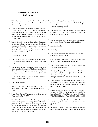# **American Revolution End Notes**

- This article was written by Frank J. Rafalko, Chief Community Training Branch, National Counterintelligence Center.
- $\overline{2}$ . Thomas Hutchinson came from a prominent New England family. In 1737, despite his family's admonishment to him about going into politics, he was elected to the Massachusetts House of Representative. He later served as Chief Justice of the colony and then royal governor.
- Francis Bernard was the nephew of Lord Barrington, the secretary of state for war in London. Barrington arranged for Bernard to be appointed as royal governor of New Jersey, but after two years Bernard move to Massachusetts to become royal governor there. He was recalled to London in 1769.
- $\overline{4}$ Dr. Benjamin Church.
- A.J. Langguth, Patriots The Men Who Started the American Revolution, Simon and Schuster, New York, 1988, p. 311.
- 6. Edmund R. Thompson, ed., Secret New England Spies of the American Revolution, The David Atlee Phillips New England Chapter, Association of Former Intelligence Officers, Kennebunk, Maine, 1991, p. 17.
- Allen French, General Gage's Informers, Greenwood Press, New York, 1968, p166-167.
- $\,$  8. Capt. James Wallace.
- Godfrey Wainwood or Wenwood, Letter from Washington to the President of Congress, October 5, 1775.
- $10.$ Letter from George Washington to the President of Congress, October 5, 1775.
- $11.$ The 28th article of war provided that anyone caught communicating with the enemy should suffer such punishment as a court martial might direct. Unfortunately for those who favored hanging Dr. Church, article 51 stated that such punishment was limited to thirty-nine lashes, or a fine of two months' pay, and/or cashiering from the service.
- $12.$ Letter from George Washington to Governor Jonathan Trumball, November 15, 1775 in which Washington inserted the resolve of Congress he received from John Hancock regarding Church.
- 13. This article was written by Frank J. Rafalko, Chief, Community Training Branch, National Counterintelligence Center.
- $14.$ Col. Jacobus Swartwout (d.1826), commander of the 2d Dutchess County Regiment of Minute Men.
- $15.$ Johnathan Fowler.
- $16.$ James Kip.
- 17. This article was written by Dan Lovelace, National Counterintelligence Center.
- <sup>18.</sup> Carl Van Doren's description of Benedict Arnold in his Secret History of the American Revolution.
- 19. This article is copyrighted by Eric Evans Rafalko and used with his permission.
- $20. \,$ Secret New England Spies of the American Revolution, ed. by Edmund R. Thompson (The David Atlee Phillips New England Chapter, Association of Former Intelligence Officers, Kennebunk, Maine, 1991, p. 73.
- Revolutionary Diplomatic Correspondence of the United States, ed. by Francis Wharton, U.S. Department of State, 6 vols., Washington, Government Printing Office, 1889, pp. 78-80.
- 22. Silas Deane to the Secret Committee of Congress, August 18, 1776, in The Deane Papers, ed. Charles Isham, 5 vols, New York Historical Society Collections, Vols. XIX-XXIII, New York, 1886-1891, XIX, p. 206.
- 23. Bemis, Samuel F., The Diplomacy of the American Revolution, New York, D. Appleton Co., 1935, pp. 44-45.
- $24.$ Dr. Edward Bancroft to the Most Honorable Marquis of Carmarthen, September 17, 1784, Samuel F. Bemis,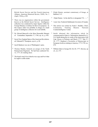British Secret Service and the French-American Alliance, American Historical Review, XXIX, No. 3 (April, 1924), p. 493.

<sup>25.</sup> There was no organization within the government known as the British Secret Service. Intelligence collection was conducted by major figures within the Foreign Ministry or military for their own purposes. In this respect, Eden was probably in charge of a small group of intelligence collectors for Lord Suffolk.

- <sup>26.</sup> Dr. Edward Bancroft to the Most Honorable Marquis of Carmarthen, September 17, 1784, op. cit., p. 493.
- <sup>27.</sup> Secret New England Spies of the American Revolution, ed. Edmund R. Thompson, op.cit., p. 80.
- <sup>28.</sup> Jacob Bankson was one of Washington's spies.
- <sup>29.</sup> Thomas Shanks, formerly an ensign of the Tenth Pennsylvania Regiment. He had been cashiered Oct. 12, 1777, for stealing shoes.
- <sup>30.</sup> The board voted 10 to 4 that he was a spy and 8 to 6 that he ought to suffer death.
- Elijah Hunter, assistant commissary of forage, at 31. Bedford, N.Y.
- $32.$ Elijah Hunter. In the draft he is designated "H-
- 33. Lieut. Gen. Frederick Haldimand, Governor of Canada.
- $34. \,$ This article was written by Frank J. Rafalko, Chief, Community Training Branch, National Counterintelligence Center.
- 35. Smith obtained this information which he communicated to Eden in "Information obtained by Lt. Col. Smith during the six weeks of his intercourse with Capt. Hyson, in February and March 1777," Mar 27-28, 1777, Stephens's Facsimiles of Manuscripts in European Archives relating to America, 1773-1783, no. 670.
- William Eden to George III, Oct 20, 1777, Stevens, op cit., no. 275.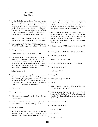## **Civil War End Notes**

- $1.$ Dr. Harold R. Relyea, Analyst in American National Government, Government and General Research Division, Congressional Research Center, Library of Congress, for the Select Committee on Intelligence and printed in Supplemental Reports on Intelligence Activities, Book VI, Final Report of the Select Committee to Study Governmental Operations with respect to Intelligence Activities, United States Senate, 1976.
- $2.$ George Fort Milton. Abraham Lincoln and the Fifth Column. New York, the Vanguard Press, 1942, p.48.
- Frederick Bancroft. The Life of Williams H. Seward (Vol.2). New York, Harper and Brothers, 1900, p. 260.
- $4.$ Ibid., pp. 261-262.
- See Richardson, op cit. (Vol.7), pp.3303-3305.
- The correspondence of this panel and lists of those released at its direction may be found in Fred C. Ainsworth and Joseph W. Kirkley, comps. The War of the Rebellion: A Compilation of the Official Records of the Union and Confederate Armies, Series II (Vol.2). Washington, U.S. Govt. Print. Off., 1897.
- $7.$ Milton, op. cit., p. 49.
- 8. See John W. Headley, Confederate Operations in Canada and New York. New York and Washington, The Neale Publishing Company, 1906; also of related interest is James D. Bulloch, The Secret Service of the Confederate States in Europe, New York, Thomas Yoseloff, 1956; originally published 1884.
- 9. Milton, loc. cit.
- $10$  *Ibid.*, pp.50-51.
- <sup>11.</sup> This article was written by Louise Sayre, National Security Agency.
- <sup>12.</sup> Allan Pinkerton, *The Spy of the Rebellion*, New York, G.W. Carleton and Company, 1883, pp. 247-248.
- $13.$  *Ibid*, pp. 429-430.
- <sup>14.</sup> Dr. Harold R. Relyea, Analyst in American National Government, Government and General Research Division, Congressional Research Center, Library of

Congress, for the Select Committee on Intelligence and printed in Supplemental Reports on Intelligence Activities, Book VI, Final Report of the Select Committee to Study Governmental Operations with respect to Intelligence Activities, United States Senate, 1976.

- 15. See L.C. Baker, History of the United States Secret Service, Philadelphia, King and Baird, 1868, pp. 15-20: Jacob Mogelever, Death to Traitors: The Story of General Lafayette C. Baker, Lincoln's Forgotten Secret Service Chief. New York, Doubleday and Company, 1960, pp-22-48.
- <sup>16.</sup> Baker, op. cit., pp. 45-72: Mogelever, op. cit. pp. 48-62.
- Baker. op. cit., pp. 72-84: Mogelever, op. cit., pp. 68-72.
- $18.$  Mogelever, op. cit., p. 73.
- See Baker, op. cit., pp. 85-101.
- <sup>20.</sup> *Ibid.*, pp. 102-111: Mogelever, op. cit., pp. 74-79.
- 21. Mogelever, op. cit., p. 79.
- <sup>22.</sup> See *Ibid.*, pp. 79-81.
- $23.$  *Ibid.*, p. 84.
- <sup>24.</sup> See Mogelever, op. cit., pp. 86-88.
- $25.$ *Ibid.*, p. 89.
- <sup>26.</sup> Wilfred E. Binkley. President and Congress. New York, Alfred A. Knopf, 1947, p. 126.
- <sup>27.</sup> Letter to Albert G. Hodges (April 4, 1864) in Roy P. Baslet, ed. The Collected Works of Abraham Lincoln (Vol. 8). New Brunswick, Rutgers University Press, 1953, p. 281.
- $28. \,$ Rossiter, op. cit., p. 229.
- Mogelever, op. cit., p. 91.
- <sup>30.</sup> *Ibid.*, pp. 95. 169.
- $31.$  *Ibid.*, p. 111.
- 32. Ibid., pp. 169-170.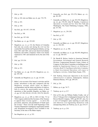- <sup>33.</sup> *Ibid.*, p. 109.
- *Ibid.*, p. 242; also see Baker, op. cit., pp. 174-178.
- *Ibid.*, p. 241.
- 36. *Ibid.*, p. 164.
- 37. See *Ibid.*, pp. 101-107, 139-140.
- 38. See Ibid., p. 108.
- 39. See *Ibid.*, pp. 107-108.
- 40. See Baker, op. cit., pp. 195-203.
- 41. Mogelever, op. cit., p. 214; the District of Columbia had only one cavalry unit during the civil war but counted the First and Second Regiment Infantry, serving from 1861 until 1865, and several short-lived infantry battalions and militia companies which were hastily organized in 1861 and mustered out by the end of the year.
- 42. *Ibid.*, pp. 215-216.
- *Ibid.*, p. 220.
- *Ibid.*, p. 221.
- 45. See Baker, op. cit., pp. 241-253; Mogelever, op. cit., pp. 245-248.
- 46. Generally see Mogelever, op. cit., pp. 213-241.
- 47. Baker's own account of his bureau's activities and his troops' adventures is thin and, compared with the Mogelever account which relies on Baker's correspondence and the letters and diaries of relatives, fails to convey the questionable nature of their operations or their possible illegality; see Baker, op. cit., pp. 147-198, 230-241, 253-261, 329-378, 384-452.
- Mogelever, op. cit., p. 249; in 1863 (12 Stat. 713 at 726) Congress authorized the Secretary of the Treasury to appoint three revenue agents". . . to aid in the prevention, detection, and punishment of frauds upon the revenue." These were the small beginnings of the Treasury Department's intelligence organization and the only designated investigative force available to the Secretary at the time of the Baker inquiry.
- 49. See Mogelever, op. cit., p. 252.
- Generally, see *Ibid.*, pp. 252-278; Baker, op. cit., pp. 261-287.
- 51. Generally, see Baker, op. cit., pp. 452-476; Mogelever, op. cit., pp. 278-292; John W. Headley, Confederate Operations in Canada and New York, New York and Washington, The Neale Publishing Company, 1906, pp. 211-382.
- Mogelever, op. cit., 291-292.
- See *Ibid.*, p. 337.
- *Ibid.*, p. 339.
- Generally, see Baker, op. cit., pp. 476-567; Mogelever, op. cit., 342-385.
- Mogelever, op. cit., p. 386.
- 57. Generally, see Baker, op. cit., pp. 582-693; Mogelever, op. cit., pp. 385-419.
- 58. Dr. Harold R. Relyea, Analyst in American National Government, Government and General Research Division, Congressional Research Center, Library of Congress, for the Select Committee on Intelligence and printed in Supplemental Reports on Intelligence Activities, Book VI, Final Report of the Select Committee to Study Governmental Operations with respect to Intelligence Activities, United States Senate, 1976.
- 59. G.R. Tredway, Democratic Opposition to the Lincoln Administration in Indiana. Indianapolis, Indiana Historical Bureau, 1973, pp. 209-210.
- *Ibid., p. 216.*
- Milton, op cit., pp. 76-77.
- Tredway, op cit., p. 217.
- 63. Ibid. p.216: also see William Dudley Foulke. Life of Oliver P. Morgan (Vol.1). Indianapolis-Kansas City, The Bowen-Merrill Company, 1899, pp.405-407; also, for a view of Carrington's spies reporting on each other and otherwise over-ingratiating themselves with unsuspecting rebels, see Tredway, op. cit., pp. 216-217.
- Tredway, op cit., p. 218.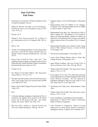## **Post Civil War End Notes**

- <sup>1.</sup> This article was written by S/A Wayne Goldstein, Naval Criminal Investigative Service.
- Jeffrey M. Dorwart, The Office of Naval Intelligence, The Birth of America's First Intelligence Agency, 1865-1918, 1979, p. 6.
- <sup>3.</sup> Ibid, pp. 10-11.
- <sup>4.</sup> Thomas F. Troy, *Donovan and the CIA: A History of* the Establishment of the CIA, Frederick, MD, 1981, p. 8.
- <sup>5.</sup> Ibid. p. 120.
- <sup>6.</sup> 38 Stat 770. Enabling legislation was also passed three days later to provide for raising volunteer forces as needed "in time of actual or threatened war." See: Stat  $347 - 51$ .
- 7. Memo Chief of Staff for TAG, 3 Mar 1914. This crippling restriction against crossing the border was not lifted until after General Pershing's Punitive Expedition had entered Mexican territory in 1916.
- 8. 38 Stat 514-16.
- See "Report of the Signal Officer," War Department Annual Reports, 1913, I, p. 781.
- <sup>10.</sup> The latter item had recently received its first boost since 1903, in the meager form of an increase from \$10,000 to \$11,000 for FY 1915.
- <sup>11.</sup> Memo, Chief of War College Division for Chief of Staff, 3 May 1915.
- $12.$  Ibid.
- <sup>13.</sup> A German sabotage campaign at impeding the flow of munitions and supplies from America to the Allied powers was in full swing at this time. See: Henry Landau, The Enemy Within, New York, 1937.
- <sup>14.</sup> Maj. Gen. Otto L. Nelson, Jr., National Security and the General Staff, Washington, 1946, pp. 145-147.
- <sup>15.</sup> Telegram Squire to AG for McClernaud, 14 December 1912.
- <sup>16.</sup> Memorandum from Col. Biddle to Col. Hughes, 9 February 1914, and Memorandum from Col. Biddle to Chief of Staff, 27 April 1914.
- <sup>17.</sup> Memorandum from Brig. Gen. Macomb for Chief of Staff, 3 August 1914. Nevertheless, Lt. Col. George O. Squier, the American Military Attache in London, was allowed to visit the British Army in France as an official military observer from 16 November 1914 to 2 January 1915.
- <sup>18.</sup> Memorandum from Brig. Gen. Charles G. Treat, Acting Chief of War College Division, to Chief of Staff, 14 November 1916.
- 19. War Division memorandum 14 November 1916.
- <sup>20.</sup> Letter, Chief, Military Mission, Paris to Chief, War College Division, 29 December 1916.
- <sup>21.</sup> James Morton Callahan, American Foreign Policy in Mexican Relations, New York, 1932, pp. 562-63.
- <sup>22.</sup> "Report of the Chief of Staff," War Department Annual Reports, 1916, I, p. 187.
- <sup>23.</sup> From August 1911 to July 1914, Maj. Ryan had been an associate professor of modern languages at the United States Military Academy. He was replaced as Expedition Intelligence officer by Capt. (later Lt. Col.) W.O. Reed, 6th Cav, on 30 April 1916.
- <sup>24.</sup> Van Deman, R.H. (Maj. Gen.), Memorandum, 8 April 1949.
- <sup>25.</sup> "Report of the Chief of Staff," War Department Annual Reports, 1916, I, p. 201.
- <sup>26.</sup> Letter, Pershing to Commanding General Southern Department, 27 March 1916, subject: Preliminary Report of Punitive Expedition.
- <sup>27.</sup> Capt. Nicholas N. Campanole, "Report Covering Operations of United States Punitive Expedition, Intelligence Section, 15 March 1916-5 February 1917."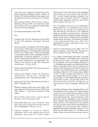Capt. (later Col.) Campanole succeeded Capt. W.O. Reed as Expedition Intelligence Officer, effective 10 October 1916, and then remained in that capacity until the withdrawal of the force from Mexico on 5 February 1917.

- <sup>28.</sup> Harry Aubrey Toulmin, With Pershing in Mexico, Harrisburg, 1935, pp. 85-88. This turned out to be the last time that the US Army employed a regular Indian Scout unit in its field operations.
- Van Deman memorandum, 8 April 1949.
- $30.$  Ibid.
- <sup>31.</sup> Comment, Brig. Gen. H.H. Macomb for Chief of Staff, 21 June 1916, attached to Van Deman "Historical Sketch."
- <sup>32.</sup> Three years earlier, in compliance with a formal request from Secretary of War Stimson, the General Staff had prepared a full report on "The Organization of the Land Forces of the United States," which recommended several specific military reforms regarding the effective mobilization of American manpower. As soon as Woodrow Wilson became President in 1912, however, this so-called "Stimson Plan" was pigeonholed. See: "Report of the Secretary of War," War Department Annual Reports, 1912, pp. 69-128.
- <sup>33.</sup> "Report of the Chief of Staff," War Department Annual Reports, 1916, p. 155.
- <sup>34.</sup> "Report of the Secretary of War," War Department Annual Reports, 1915, pp. 22-23. This plan was generally known as the "Continental Army Plan."
- <sup>35.</sup> Memo from Chief, War College Division for Chief of Staff, 11 December 1916.
- <sup>36.</sup> Written by Charles H, Harris and Louis R. Sadler. This article appeared in The Americas, Volume XXXIX, July 1982, Number 1. Used with the permission of the authors.
- 37. Mexican Rebel: Pascual Orozco and the Mexican Revolution, 1910-1915 (Lincoln, 1967).
- <sup>38.</sup> Robert Ryall Miller, Arms Across the Border: United States Aid to Juarez During the French Intervention in Mexico (Philadelphia, 1973), pp.7, 32, 38.
- <sup>39.</sup> Francisco Almada's La rebelion de Tomochi (Chihuahua, 1938) is the standard source for the insurrection. Also see the U.S. v Victor L. Ochoa,

District Court, El Paso, FRC-FW, No. 893 and District Court, El Paso, nos. 4,8,7,6,5,1009, 1024, all in FRC-FW. See also Yolanda Guaderrama Alexander, "Las Palomas: Years of Turmoil, 1893-1917" (Graduate Seminar Paper, Department of History, New Mexico State University, 1974), pp. 7-16.

- 40. U.S. v. Leocardio B. Trevino et al., U.S. Commissioner, El Paso, FRC-FW, no. 83, and District Court, El Paso, FRC-FW, No. 1361. See also U.S. Commissioner, El Paso, FRC-FW, nos. 100, 156, 88, 117, 101. Additional details are available in National Archives, Numerical and Minor Files of the Department of State, Microcopy M-862, roll 429, file nos. 5026 and 5028; and Richard Estrada, Border Revolution: The Mexican Revolution in the Ciudad Juarez/El Paso area, 1906-1915," (unpublished M.A. thesis, University of Texas, at El Paso, 1975), pp. 38-44.
- 41. Charles H. Harris III and Louis R. Sadler, "The 1911 Reyes Conspiracy: The Texas Side," Southwestern Historical Quarterly (April, 1980), pp 325-348.
- $42.$ For a study of United States arms policy see Harold Eugene Holcombe, "United States Arms Control and the Mexican Revolution, 1910-1924," (unpublished Ph.D. dissertation, University of Alabama, 1968), pp.26-33. The Madero government's use of the British Foreign Office in persuading Taft to ban the exportation of munitions to the Orozquitas can be found in: Lord Codry telegram to the British Ambassador in Washington James Bryce, March 12, 1912; Cowdry to Bryce, March 13, 1912; Cowdry to Enrique Creel, March 12, 1912; and Foreign Office minute of March 13, 1912, all in Foreign Office 115/1683, British Public Record Office, Kew Gardens, London. See also Peter Calvert, The Mexican Revolution, 1910-1914: The Diplomacy of Anglo-American Conflict (Cambridge, 1968), pp. 108-109.
- 43. Ironically, the Rangers, whose strength had been more than doubled (15-43) in October, 1911 at federal expense to pacify the Texas border had been reduced to their former numbers by late January, 1912, because the border appeared peaceful. Senate Document no. 404, 62nd Cong., 2nd sess. (Washington, 1912). During the Orozco rebellion, after first being ordered not to assist Federal officials in the enforcement of the neutrality laws, they generally worked closely with the Bureau of Investigation. See Texas Governor O.B. Colquitt to Adjutant General Henry Hutchings, February 2, 1912, Walter Prescott Webb Papers, vol. 18, Barker Texas History Center, University of Texas at Austin. Also see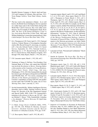Monthly Returns Company A, March, April and June, 1912 and Company B, February, May and June, 1912, Texas Ranger Archive, Texas State Library, Austin, Texas.

- The key word in the statement is blatant. As is well known, the British Secret Intelligence Service operated on a rather large scale in the United States during both World War I and II; however, they were rather more discreet. See for example, H. Montgomery Hyde, Room 3603: The Story of the British Intelligence Center in New York during World War II (New York, 1963) and William Stephenson's somewhat sensationalized A Man Called Intrepid: The Secret War (New York, 1976).
- <sup>45.</sup> H.A. Thompson to S.W. Finch, April 21, 1912, National Archives, Federal Bureau of Investigation (hereafter cited as BI), Record Group 65, microcopy, no number, roll 1; See also Edward Tyrell to Chief, U.S. Secret Service, September 26, 1912, National Archives, Microcopy no. 3, 157, Record Group 87, Records of the U.S. Secret Service, Daily Reports of Agents, 1875 through 1936, Daily Report, March 1, 1912, BI, roll 2.
- 46. F.H. Lancaster report, March 1, 1912, BI, roll 2.
- 47. Testimony of James G. McNary, Vice-President, First National Bank of El Paso, who stated that \$500,000 was involved, Revolutions in Mexico: Hearings Before a Subcommittee of the Committee on Foreign Relations, United States Senate. 62nd Cong., 2nd sess. (Washington, 1913), 169; Felix Sommerfeld who should have known gave the figure as being between \$600,000 and \$700,000, Ibid., 437. Two stories, emanating from officials of the Huerta government in 1913, cite Llorente's expenditure as being \$283,943 and another account states that \$150,000 was spent. See El Paso Morning Times, June 3, and July 21, 1913.
- <sup>48.</sup> See the Sommerfeld file. Military Intelligence Division (hereafter cited as MID), National Archives, Record Group 165, Records of the War Department General and Special Staffs, MID, 9140-1754; Sommerfeld's testimony in Revolutions in Mexico, pp. 387-447. Also see Michael C. Meyer, "Villa, Sommerfeld, Columbus y los alemanes." Historia Mexicana 28 (April-June 1979), pp. 546-566.
- <sup>49.</sup> I.J. Bush, Gringo Doctor (Caldwell, Idaho, 1939), pp. 183-186, 226; William H. Beezley, Insurgent Governor: Abraham Gonzalez and the Mexican Revolution in Chihuahua (Lincoln, 1973), pp. 33-69.
- <sup>50.</sup> L.E. Ross reports, March 1 and 9, 1912, BI, roll 2.
- Lancaster reports, March 1 and 9, 1912, roll 2 and March 4, 5, 6, 8, 1912, roll 1; Ross report, March 19, 1912, roll 1; Thompson to Finch, March 3, 1912, roll 1; Thompson, April 19, 1912, BI roll 1; C.D. Hebert to Finch, April 29, 1912, roll 1; Hebert reports, May 5, 8, 14, 15, 1912, roll 2 all in BI; For example, see the Thiel Agency's reports, entitled "Revolutionary Information," March 4, 5, 6, 8, 16, 22, 23, 24, 26, 27, 28, 29, April 2, 4, 8, 10, 22, and 28, BI, roll 1. For the Thiel Agency's reports to the Mexico Northwestern, see Revolutionary Information," October 22, 1912, John H. McNeely Collection, Box 13, Packet "Misc. 1912-1914," Records of the Mexico Northwestern Railway, Archives, University of Texas at El Paso. For the Thiel Agency's reports to the Mexican government, see Isidro Fabela et al., (eds.) Documentos historicos de la Revolucion Mexicana, 27 vols. (Mexico 1964-1973) (hereafter cited as DHRM) VII, pp. 371-375, 391-394, 416-418.
- 52. Lancaster to Finch, "Personal and Confidential," March 23, 1912, BI, roll 1.
- 53. Sanche de Gramont, The Secret War: The Story of International Espionage Since World War II (New York, 1962), pp. 149-150.
- 54. Thompson report, June 21, 1912, BI, roll 1; E.M. Blanford report, April 7, 1913, roll 3, both in BI; Manuel Cuesta to Secretario de Relaciones Exteriores, March 9, 1912, DHRM, VII, 183; Enrique de la Sierra to same, February 24, 1913, Ibid., XIV, pp. 78-79.
- Lancaster reports, March 13, 18, 22, 1912; Ross report, April 24, 1912; Hawkins reports, April 17, 18, 24, 1912; Thiel Agency report, March 27, 1912; and Thompson report, April 19, 1912, all in BI roll 1.
- 56. Ross reports, March 19, 20, 23, April 5, 23, 1912, roll 1; Hebert report, May 8, 1912, roll 2, all in BI.
- M.L. Gresh report, October 22, 1912, roll 2; J.W. Vann report, October 28, 1912, roll 3; C.E. Breniman reports, October 25 and 30, November 3, 4, 24, 1912, roll 3, all in BI. Ross's reports to Llorente, dated October 18 and 19, November 1912, are in the Enrique C. Llorente Papers, Manuscripts Division, New York Public Library.
- Inspector of Consulates to Secretario de Relaciones Exteriores, May 14, 1913, *DHRM*, XIV, pp. 229-230; See also Abraham Molina to Jose Maria Maytorena, April 22, 1913, Ibid., XIV, 190; Jose Maria Maytorena to Abraham Molina, May 8, 1913, Ibid., XIV, 221.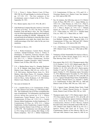- <sup>59.</sup> U.S. v. Victor L. Ochoa, District Court, El Paso, FRC-FW, No. 893 and Almada, La rebelion de Tomochi, pp. 127-128, 133. The best summary of his revolutionary career is found in the El Paso Times, September 20, 1921.
- R.L. Barnes reports, June 21-25, 1912, BI, roll 2.
- Zork Hardware Company Records, Archives, University of Texas at El Paso. In 1912, the firm's name was Krakauer, Zork and Moye's Sucs., Inc. The Company was one of the largest hardware dealers in the Southwest, with assets exceeding  $$1,100,000$ . Although the 1912 account books do not indicate to whom the sales of arms and ammunitions were made, they clearly show that a sizable percentage of the firm's sales for the year were munitions.
- 62 Revolution in Mexico, 124.
- U.S. v. Robert Krakauer, Castulo Herra, Pascual Arellano, Adolph Krakauer, Victor L. Ochoa, S. Dominguez, G. Gutierrez, Francisco Navarro, Julius Krakauer, District Court, El Paso, FRC-FW, no. 1626. See also U.S. v. Sabino Guaderrama, Avelino Guarderrama, Longino Gonzalez, Isabel Larrazola, District Court, El Paso, FRC-FW, no. 1629.
- 64 U.S. v. Shelton-Payne Arms Co., Douglas Hardware Co., W. H. Shelton, John Henry Payne, W.F. Fisher, District Court, Phoenix, FRC-LN, no. c-676; U.S. v. L.D. McCartney, Shelton-Payne Arms Co., W.H. Shelton, John Henry Payne, J.N. Gonzalez, District Court, Phoenix, FRC-LN, no. C-677; U.S. v. Krakauer, Zork & Moye, Julius Krakauer, L.D. McCartney, District Court, Phoenix, FRC-LN, no. C-679.
- 65 See cases in footnote 28.
- U.S. v. Arnulfo-Chavez, U.S. Commissioner, El Paso, no. 1081, District Court, El Paso, no. 1590, both in FRC-FW. The Guaderrama clan in El Paso exemplified this type of entrepreneur. For information concerning their activity during this period see, U.S. v. Sabino Guaderrama, Isabel Rangel, Jose Cerros, U.S. Commissioner, El Paso, no. 1135; U.S. v. Castulo Herrera, Sabino Guaderrama, Avelino Guaderrama, U.S. Commissioner, El Paso, no. 1070; U.S. v. Sabino Guaderrama, Avelino Guaderrama, Longino Gonzalez, Isabel Larrazola, District Court, El Paso, no. 1629, all in FRC-FW. The Guaderrama were still going strong in 1915, being involved, among other things, in the Huerta conspiracy. See U.S. v. Sabino Guaderrama,

U.S. Commissioner, El Paso, no. 1376, and U.S. v. Victoriano Huerta et al., District Court, San Antonio, no. 2185, both in FRC-FW.

- 67 See, for instance, the following cases in U.S. District Court, El Paso, FRC-FW: U.S. v. James McKay, no. 1555; U.S. v. John Thomas, no. 1552; U.S. v. Peter S. Aikin, no. 1553, U.S. v. Francisco M.F. Najera, no. 1560; U.S. v. Allen L. Rogers, no. 1551; U.S. v. Alfredo Guerro, no. 1554; U.S. v. Francisca Molina, no. 1575; U.S. v. Petra Ochoa, no. 1593; U.S. v. Josefina Santa Cruz, no. 1602; U.S. v. Maria Solis, no. 1603.
- U.S. v. Fred Freepartner, W.E. Mason, Joe de Lauter, Lou Mullady, Enrique Esparza, Agustin Gallo, U.S. Commissioner, El Paso, nos. 1066 and 1067, District Court, El Paso, no. 1598, both in FRC-FW.
- 69 U.S. v. John Dickson, U.S. Commissioner, El Paso, no. 1097, District Court, El Paso, no. 1598, both in FRC-FW.
- 70 Testimony of Felix Sommerfeld, Revolution in Mexico, pp 427-431; El Paso Herald, August 22-23, 1912; El Paso Morning Times, July 2, 25, 1912.
- $71\,$ Ross reports, May 18-22, 1912; Thompson reports, May 21-23, October 3, 18, 21, 1921; Hebert report, May 22, 1912; Harris reports, May 25, 28, 29, June 6, 7, 10, 14, October 13, 18, 1912, all in BI, roll 2; Harris reports, October 27 and 30, November 3, 4, 6, 1912; Gresh report, October 31, 1912; Breniman report, November 13, 1912; Blanford report, November 14, 1912; Harris to A. Bruce Bielaski, November 20, 1912, all in BI, roll 3; U.S. v. Ignacio Salvador Rojas Vertiz, Frank Borbon, T.C. Cabney, Pascual Orozco, Jr., Gonzalo C. Enrile, U.S. Commissioner, El Paso, FRC-FW, no. 1089 and District Court, El Paso, FRC-FW, nos. 1628, 1633.
- U.S. v. Ignacio Lopez, Salvador Rojas Vertiz, Frank Borbon, T.C. Cabney, Pascual Orozco, Jr., Gonzalo Enrile, District Court, El Paso, FRC-FW, no. 1628.
- Thompson report, June 7, 1912; Barnes report, June 8, 1912; Ross reports, June 8 and 10, 1912, all in BI, roll 2; U.S. v. Castulo Herrera, Ignacio Gutierrez, Eduardo Ochoa, Jesus de la Torre, Ignacio Nunez, U.S. Commissioner, District of New Mexico, Federal Records Center, Denver (hereafter cited as FRC-D), No. 1161, District Court, Santa Fe, FRC-D, no. 85; U.S. v. Ignacio Nunez and Jesus de la Torre, U.S. Commissioner, District of New Mexico, FRC-D, nos. 1024 and 1604, District Court, Santa Fe, FRC-D, no.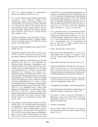1654; U.S. v. Ignacio Gutierrez, U.S. Commissioner, District of New Mexico, FRC-D, no. 1251.

- 74. U.S. v. Lazaro Alanis (Jose) Ines Salazar, Roque Gomez, Concepcion Tovar, Marcial Andujos, U.S. Commissioner, District of New Mexico, FRC-D, nos. 1158 and 1268, U.S. Commissioner, El Paso, FRC-FW, nos. 1158 and 1167, District Court, Santa Fe, FRC-D, no. 84; Thompson reports, August 12 and 14, 1912, BI, roll 2; Ross report, August 14, 1912, BI. roll 2; Barnes report, August 16, 1912, BI roll 2, El Paso Morning Times, August 13, 1912.
- Testimony of Manuel L. Lujan, Revolutions in Mexico, pp 296-297; Dispatches from the U.S. Military Attaché, Capt. W.A. Burnside, July 24, 1912, MID 5761-532 and July 24, 1912, MID 5384-16.
- $76. \,$ Francisco I. Madero to Enrique Llorente, May 30, 1912, DHRM, VII, 422.
- 77. Charpentier's testimony in Revolutions in Mexico, pp. 447-451, 505-528; McDonald's testimony, Ibid., pp. 680-683; Mahoney's testimony, *Ibid.*, pp. 683-686.
- $78. \,$ Charpentier, Mahoney, and McDonald were tried and acquitted in 1912. See U.S. v. E.L. Charpentier, D.J. Mahoney, Robert McDonald, A Monahan (sic-J.H. Noonan), District Court, El Paso, FRC-FW, no. 1607; Llorente's case was continued until April 14, 1916, when it was dismissed. See U.S. v. Enrique C. Llorente, R.H.G. McDonald, D.J. Mahoney, J.H. Noonan, E.L. Charpentier, District Court, El Paso, FRC-FW, no. 1650. As an example to the permutations that occurred among border characters, in 1914 Victor L. Ochoa was enlisting men for the Carrancistas, and one of those he enlisted was R.H.G. McDonald. See U.S. v. Victor L. Ochoa, Fred Mendenhall, R.H.G. McDonald, Agustin Pantoja, Ramon Gutierrez, District Court, El Paso, FRC-FW, no. 1810; U.S. v. E.L. Holmdahl, Victor L. Ochoa, Tandy Sanford, Fred Mendenhall, U.S. Commissioner, El Paso, FRC-FW, no. 1363; U.S. v. Victor L. Ochoa, Tandy Sanford, John Sanford, Fred Mendenhall, Rafael Diaz, R.H.G. McDonald, Jose Orozco, Francisco Rojas, Vicente Carreon, U.S. Commissioner, El Paso, FRC-FW, no. 1359.
- 79. Ernest Knable, Assistant Attorney General to Secretary of State, May 15, 1912, National Archives, Record group 60, Department of Justice (hereafter cited as DJ), file no. 90755-1557; Also see Wickersham to Charles Boynton, May 16, 1912, DJ, 90755-1562 and May 20, 1912, DJ 90755-1565; Charles Boytin to Wickersham, May 17, 1912, DJ, 90755-1564 and June 8, 1912, DJ, 90755-1590; Not until it was obvious that Orozco had

lost did the U.S. government begin putting pressure on Llorente. See Huntington Wilson to Wickersham, June 24, 1912, Records of the Department of State Relating to the Internal Affairs of Mexico, 1910-1929, National Archives Microfilm Publications, Microcopy no. 274, file no. 812.00/4246; Wickersham to Boynton, June 27, 1912, DJ, 90755-1605 and J.A. Fowler to Secretary of State, June 28, 1912, DJ, 90755-1605; Thompson reports, November 6, 7, and 3o, 1912, BI, roll 3.

- U.S. v. Luis Diaz de Leon, U.S. Commissioner, El Paso, no. 1036 and District Court, El Paso, no. 1563; U.S. v. Canuto Leyva, District Court, El Paso, no. 1617; U.S. v. Rutilio Rodriguez, District Court, El Paso, no. 1618; U.S. v. Victor Ochoa, District Court, El Paso, no. 1625; U.S. v. Jesus Quintana et al., U.S. Commissioner, El Paso, no. 1037; U.S. v. J. Saldivar, District Court, El Paso, no. 1569, all in FRC-FW.
- 81. El Paso Morning Times, June 24, 1912.
- 82. Ross reports, July 6 and September 8, 11, 1912, roll 3; Harris reports, July 29, August 2, 7, October 31, 1912, roll 3; R.L. Barnes report, September 28, 1912, roll 2, all in BI.
- 83. Walter Mills, The Road to War, Boston, 1935, p. 147.
- Captain Franz Rintelen von Kleist, The Dark Invader: Wartime Reminiscences of a German Intelligence Officer, New York, 1933, pp. 57-60. This book should be treated with great circumspection as it contains much swashbuckling daring-do as believable information.
- $85. \,$ Reinhard R. Doerries, Imperial Challenge, Ambassador Count Bernstorff and German-American Relations, 1908-1917, Chapel Hill, 1989, p. XV.
- 86. Copyrighted by Eric Rafalko. Used with his permission.
- 87. Colonel Allison Ind, A Short History of Espionage, New York, David McKay Company, Inc. 1963, p. 155.
- 88. The article is from an interview with Robert L. Bannerman, who served in the Office of Security, Department of State from 1936 to 1947, becoming director in the latter year.
- 89. Heinrich von Eckhardt.
- Joan M. Jensen, Military Surveillance of Civilians in American, Morristown, New Jersey, General Learning Press, 1975, p. 5.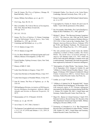- <sup>91.</sup> Joan M. Jensen, *The Price of Vigilance*, Chicago, Ill, Rand McNally, 1968, p. 12.
- <sup>92.</sup> Jensen, Military Surveillance, *op cit.*, pp. 4-5.
- 93. 41st Cong., Sess. III, Ch. 14.
- <sup>94.</sup> Max Lowenthal, The Federal Bureau of Investigation, New York, Harcourt Brace Jovanovich, 1950, pp. 10-13.
- 95. 28 U.S.C. 533 (3).
- <sup>96.</sup> Jensen, *The Price of Vigilence* 15; Homer Cummings and Carl McFarland, Federal Justice, New York, McMillian Co., 1937, pp. 415-416.
- <sup>97.</sup> Cummings and McFarland, op. cit., p. 416.
- <sup>98.</sup> 33 U.S. Statute at Large 1214.
- 39 U.S. Statute at Large 889.
- <sup>100</sup>. Cir. Ltr, Bruce Bielaski to all Special Agents and Local Officers, Bureau of Investigation, 22 Mar 1917.
- <sup>101.</sup> French Strother, Fighting Germany's Spies, New York, 1918. P. 394.
- <sup>102</sup>. History of MID. P. 1042.
- <sup>103.</sup> Letter from McAdoo to Gregory, 2 June 1917.
- <sup>104.</sup> Letter from McAdoo to President Wilson, 2 June 1917.
- <sup>105.</sup> Letter from Gregory to President Wilson, 14 Jun 1917.
- <sup>106.</sup> Joan M. Jensen, The Price of Vigilence, op. cit. Pp. 118-119.
- <sup>107</sup>. FBI Intelligence Division, An Analysis of FBI Domestic Security Intelligence Investigations: Authority, Official Attitudes and Activities in Historical Perspective, 10/ 28/75.
- <sup>108.</sup> Memorandum of F.X. O'Donnell, 10/24/38.
- <sup>109</sup> Jensen, *op. cit.*, pp. 102-103.
- <sup>110</sup>. Act of June 15, 1917, Title I, Section 3.
- <sup>111.</sup> The Supreme Court upheld such convictions in Schenck v. U.S., U.S. 47 (1919) and Abrams v. U.S., 250 U.S. 616 (1919).
- <sup>112</sup>. Zechariah Chafee, Free Speech in the United States, Cambridge, Harvard University Press, 1941, p. 69.
- <sup>113.</sup> Homer Cummings and Carl McFarland, Federal Justice, op. cit., p. 247.
- <sup>114.</sup> Copyrighted by Charles H. Harris III and Louis R. Sadler. Used with the permission of the authors.
- <sup>115.</sup> See, for example, Allen Dulles, The Craft of Intelligence, Harper & Row Publishers, N.Y., 1965, pp38-39.
- <sup>116.</sup> Michael C. Meyer, "The Mexican-German Conspiracy of 1915," The Americas, July 1966, pp-76-89; James A. Sandos, "German Involvement in Northern Mexico, 1915-1916: A New Look at the Columbus Raid, "The Hispanic American Historical Review, February 1970, pp 70-88; and Barbara Tuchman, The Zimmerman Telegram, The Viking Press Inc., N.Y., 1958, passim.
- 117. The only printed source which treats the Jahnke conspiracy in detail is Henry Landau, The Enemy Within: The Inside Story of German Sabotage in America, G.P. Putnam's Sons, N.Y., 1937, which can still be read with profit although it contains errors and is undocumented. Surprisingly, this study has generally been neglected by historians of American intelligence.
- <sup>118.</sup> "Interrogation of Lothar Witzke," San Antonio, Texas, 16-18 September 1919, Volume II, Exhibit 24, and "Affidavit of Alfred Edward Woodley Mason," Cairo, Egypt, 15 February 1929, Volume II, Exhibit 625, Mixed Claims Commission (MCC), United States and Germany, Federal Records Center, East Point, Ga.
- <sup>119</sup>. Landau, op cit, pp 77-84 and 114.
- <sup>120.</sup> "Affidavit of Admiral Sir W. Reginald Hall," former chief of British Naval Intelligence, 28 December 1926, with annexed copies of 327 German cablegrams intercepted by the British government during World War I, Volume VII, Exhibit 320, MCC, United States and Germany, Federal Records Center, East Point, Ga.
- <sup>121.</sup> Major R.L. Barnes to Colonel Garrison, 9 April 1919, National Archives, Record Group 165, Records of the War Department General and Special Staffs, Military Intelligence Division (MID), 51-45.
- <sup>122.</sup> Testimony of Altendorf in "U.S. War Department Record of the Court Martial of Lothar Witzke," Volume VIII, Exhibit 321, MCC, United States and Germany, Federal Records Center, East Point, Ga.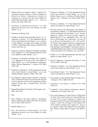- <sup>123.</sup> William Gleaves to Captain R. Davila, 1 August 1915, Venustiano Carranza Archives, Centro de Estudios de Historia de Mexico, Departmento Cultural de Condumex, S.A., Mexico City, Mex.; and "Affidavit of Alfred Edward Woodley Mason," op cit. Also, see Gleaves file, MID, 10541-546.
- <sup>124.</sup> Testimony of Altendorf and Gleaves, "U.S. War Department Record of the Court Martial of Lothar Witzke," op cit.
- <sup>125.</sup> Testimony of Butcher, Ibid.
- <sup>126.</sup> "Affidavit of Alfred Edward Woodley Mason," op cit.; Testimony of Gleaves, "U.S. War Department Record of the Court Martial of Lothar Witzke," op cit.; and Guy L. Fake Affidavit, 18 August 1924, Volume II, Exhibit 10, MCC, United States and Germany, Federal Records Center, East Point, Ga.
- $127.$ Testimony of Gleaves, Altendorf, Nuenhoffer and Major R.M. Campbell, "U.S. War Department Record of the Court Martial of Lothar Witzke." op cit.
- <sup>128.</sup> Testimony of Altendorf and Major R.M. Campbell, "U.S. Department of Record of the Court Martial of Lothar Witzke," op cit.; and Van Deman to intelligence officer, Western Department, 17 January 1918, MID, 10541-268.
- <sup>129.</sup> Testimony of Altendorf, "US War Department Record of the Court Martial of Lothar Witzke," op cit; and Altendorf Report, undated, in MID, 10541-268.
- <sup>130.</sup> See Chapman's cipher telegram to Butcher, 26 January 1918, in National Archives, Record Group 84, Records of the Foreign Service Posts of the Department of State, Nogales, Sonora, Mex., Consulate Files, 1918, File Number 820.
- <sup>131.</sup> Special Border Report, 4 February 1918, Nogales, Ariz., MID, 10541-268.
- <sup>132</sup> Ibid.
- <sup>133</sup>. Percy Altendorf, "My Trip to Mexico," and Butcher Report, undated, both in MID, 10541-268. See also the file on Calles, MID, 8536-297.
- <sup>134.</sup> Butcher Report, op cit.
- <sup>135.</sup> Ibid.; and Testimony of Charles Beatty, "U.S. War Department Record of the Court Martial of Lothar Witzke," op cit.
- 136. Testimony of Butcher, "U.S. War Department Record of the Court Martial of Lothar Witzke," op cit.; and Butcher Report, op cit. and Special Border Report, Nogales, Ariz., 2 February 1918, both in MID 10541-268.
- 137. Testimony of Butcher, "U.S. Was Department Record of the Court Martial of Lothar Witzke," op cit.
- $138.$ The best account of the decrypting of the telegram is the testimony of Manly, "U.S. War Department Record of the Court Martial of Lothar Witzke." op cit. See also Herbert O. Yardley, The American Black Chamber, Bobbs-Merrill Co. Inc., Indianapolis, Ind., 1931, pp 90-114; David Kahn, The Codebreakers: The Story of Secret Writing, The Macmillan Co, N.Y., 1967, pp 253-54; Yardley memorandum attached to telegram from R.L. Barnes to Milstaff, 7 August 1918, MID, 10541-268; and Major General Ralph H. Van Deman, Memoirs, Unpublished Manuscript, Library, US Army Intelligence Center and School, Fort. Huachuca, Ariz., pp 62-63.
- 139. Exhibit 13, "U.S. War Department Record of the Court Martial of Lothar Witzke," op cit.
- 140. John M. Maguire to Lieutenant Van Dusen, 11 June 1918, in MID, 10541-268.
- <sup>141.</sup> Testimony of Witzke, "U.S. War Department Record of the Court Martial of Lothar Witzke," op cit.
- <sup>142.</sup> Court-Martial Verdict, "U.S. War Department Record of the Court Martial of Lothar Witzke," op cit.
- <sup>143</sup>. For example, see Special Border Report, Nogales, Ariz., 7 February 1918, in MID 8536-293.
- <sup>144</sup> Campbell to Van Deman, 18 March 1918, MID 10541-367.
- <sup>145.</sup> Campbell to chief, Military Intelligence Branch, 4 September 1918, MID, 10541-367.
- <sup>146.</sup> See Consul Chapman to Consul Lawton, 26 March and 18 April 1918, Consul Lawton to Consul McPherson, 20 April 1918, Consul Chapman to Captain Joel Lipscomb, 29 April 1918, and Consul Simpich to Consul Lawton, 3 May 1918, all found in File Number 820, 1918, Nogales Consulate File; Captain G.L. Jones to R.L. Barnes, 14 May 1918, MID 8536-314; and Captain H.S. Dickey to chief, MID, 28 August 1918, MID 51-45.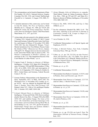- <sup>147.</sup> The correspondence can be found in Department of State File Number 150. 636/31, National Archives; Nogales Consulate File 820, 1918; and Colonel Marlborough Churchill to A. Caminetti, 14 August 1918, MID, 51-45.
- <sup>148.</sup> A detailed statement of this controversy can be found in Joan M. Jensen, The Price of Vigilance, Rand McNally & Co., Chicago, Ill., 1968, pp 118-29; and William R. Corson, The Armies of Ignorance: The Rise of the American Intelligence Empire, Dial Press/James Wade Books, N.Y., 1977, pp 52-63.
- <sup>149</sup>. Acting judge advocate general to the adjutant general, 17 January 1921, Volume II, Exhibit 157, MCC, United States and Germany, Federal Records Center, East Point, Ga.; and Gregory to Wilson, 25 November 1918, MID, 10541-268. See also Edmund M. Morgan, "Court-Martial Jurisdiction Over Non-Military Persons Under the Articles of War," Minnesota Law Review, January 1920, pp76-116. Morgan, however, has one serious error in the article-that Witzke died in prison (p 80). For Wilson's commutation of Witzke's sentence, see enclosure in the "U.S. War Department Record of the Court-Martial of Lothar Witzke," op cit.
- <sup>150.</sup> Captain Frank P. Stretton to director of Military Intelligence, 2 October 1919, Major R.B. Woodruff to same, 26 January 1920 and MID Memorandum, 25 May 1921, all in MID, 10541-268; and interrogation of Witzke, 16-18 September 1919, Volume II, Exhibit 24, MCC, United States and Germany, Federal Records Center, E. Pt., Ga.
- <sup>151.</sup> German Embassy Memorandum to the Department of State, September 1923, in MID, 10541-268; The Washington Post, 21 November 1923; Landau, op cit., pp 183-85. Also see Admiral Sir Reginald Hall and Amos J. Peaslee, Three Wars With Germany, G.P. Putnam's Sons, N.Y., 1944, p 110; and Report Number 590, 11 October 1935, MID, 10541-268.
- <sup>152</sup>. Colonel Edward Davis to director of Military Intelligence, 18 June and 30 July 1920; Davis to military attaché, Mexico City, Mex., 13 August 1920, all in MID, 10541-367; and Ladislas Farago, The Game of the Foxes: The Untold Story of German Espionage in the United States and Great Britain During World War II, David McKay Co. Inc., N.Y. 1971, pp 654-58 and 622. Surprisingly Farago does not mention Jahnke's espionage career during World War I.
- <sup>153</sup>. Alvaro Obregón, Ocho mil kilómetros en campaña. Third Edition, Fondo de Cultura Económica, Mexico City, Mex., 1960, pp 199 and 207; and Major R.L. Barnes to director of Military Intelligence, 6 November 1918, MID, 9685-129.
- Gleaves file, MID, 10541-546; and Guy L Fake Affidavit, op cit.
- <sup>155</sup>. See the voluminous Altendorf file, MID, 51-45. The last entry, referring to his activities in Havana is Lieutenant Colonel V.W. Cooper to Major J.C. Schwenck, 5 November 1928.
- <sup>156</sup>. Act of October 16, 1918.
- <sup>157.</sup> Confidential Memorandum to all Special Agents and Employees, 8/12/19.
- 158. Coben, A Mitchell Palmer, New York, Columbia University Press, 1963, pp. 130, 207.
- Coben, op. cit., pp. 210, 215-216; see also Preston's Aliens and Dissenters, chs, 7-8; Chafee, Free Speech in the United States, ch 5.; Robert K. Murray, Red Scare: A Study in National Hysteria, Minneapolis, University of Minnesota Press, 1955.
- Preston, op. cit., p. 221.
- <sup>161.</sup> Confidential Memorandum, 8/12/19.
- <sup>162.</sup> Memorandum from Burke to Caminetti, 11/19/19, cited in Preston, Aliens and Dissenters, pp. 216-217.
- <sup>163</sup>. Memorandum from Hoover to Caminetti, 12/17/19, cited in Coben, A. Mitchell Palmer, p. 223.
- <sup>164</sup>. Memorandum from Hoover to Caminetti, 1/22/20, cited in Preston, op. cit., p. 219.
- 165. Memorandum from Hoover to Caminetti, 3/16/20, cited in Preston, p. 219.
- 166. Memorandum from Hoover to Caminetti, 2/2/20; 4/6/ 20, cited in Preston, p. 224.
- $167.$  Preston, *op. cit.*, p. 222.
- <sup>168</sup>. Memorandum from Hoover to Caminetti, 3/16/20, cited in Preston, p. 223.
- <sup>169.</sup> Preston, *op. cit.*, pp. 223-224; see Louis F. Post, *The* Deportations Delirium of Nineteen-Twenty, Chicago, Kerr, 1923.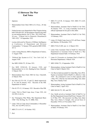## **CI Between The War End Notes**

- 1. Japanese.
- <sup>2</sup> Memorandum from Chief, MI4 to G-2 Exec., 28 July 1923.
- <sup>3.</sup> Federal troops were dispatched to West Virginia during both 1920 and 1921, for the purpose of preserving order in coal mining districts. See: S. Doc., 263, 67th Cong., 2d sess., "Federal Aid in Domestic Disturbances 1903-1922," 18 September 1922.
- $4.$ Lecture delivered by Director of Military Intelligence at Conference of Department and Division Commanders," 12 January 1920, quoted in MID 10560- $367 - 4.$
- <sup>5.</sup> Letter, Acting Director, MID to Department of Justice, 11 August 1920.
- "Political Spy System in U.S.," New York Call, 16 August 1920.
- <sup>7.</sup> See MID 10560-272, 30 June 1921.
- <sup>8.</sup> See MID 10560-60, 28 January 1920, and Memorandum 1st. Lt. G.L. Harding for Gen. Churchill, 13 March 1920.
- <sup>9.</sup> Memorandum from Chief, MI4 for Gen. Churchill, 23 March 1920.
- $10.$  See Files 62-375-13X, 15 and 22, dated respectively 4, 18, and 20 January 1921. Records of the FBI. Department of Justice.
- <sup>11.</sup> File  $62-375-15$ , 18 January 1921. Records of the FBI.
- <sup>12.</sup> Letter, TAG to Third Corps Area, 9 June 1922, AG 322.999 (3-26-21).
- <sup>13.</sup> See "Emergency Plan White, War Department Basic 1940." File 382 Reg. No. 53. DRB, TAG.
- <sup>14.</sup> Letter, TAG to Corps Area Commanders, 6 December 1922, AG 322.999 (3-26-21).
- <sup>15</sup>. MID 271-A-9-117, 16 October 1922.
- $16.$  Ibid.
- <sup>17.</sup> MID 271-A-9-58, 16 January 1923; MID 271-A-69, 30 June 1923.
- 18. Memorandum, Assistant Chief of Staff G-2 for TAG, 30 January 1923. Lt. Long eventually received an official reprimand for his part in this affair.
- 19. Memorandum, Assistant Chief of Staff G-2 for TAG, 19 February 1923.
- $20. \,$ Letter, CG Ninth Corps Area to CO's all Posts, Camps and Stations, 20 December 1922.
- $21.$ MID 2710A-9-209, incl. 4, 12 March 1923.
- <sup>22</sup>. Letter from Assistant Chief of Staff G-2 Hawaiian Department to Assistant Chief of Staff G-2, War Department General Staff, 16 February 1924.
- 23. Letter G-2 Executive to Assistant Chief of Staff G-2 Hawaiian Department, 6 March 1924.
- <sup>24.</sup> MID 10560-731, 8 September 1924.
- Memorandum, Acting Assistant Chief of Staff G-2 for 25. Chief of Staff, 8 March 1924.
- <sup>26.</sup> Col. Reeves had succeeded Col. (later Brig. Gen.) W.K. Naylor as Assistant Chief of Staff G-2, effective 1 July 1924. He continued to serve in that capacity until 1 May 1927, when he was relieved by Brig. Gen. (later Maj. Gen.) Stanley Ford.
- 27. Memorandum, Acting Assistant Chief of Staff G-2 for Chief of Staff, 2 April 1925.
- <sup>28.</sup> MID 248-20-372, 383, and 392.
- <sup>29.</sup> Gen. Smith served as Assistant Chief of Staff G-2 at the War Department General Staff from 3 January 1931 to 25 May 1933. His successor was Brig. Gen. (later Maj. Gen.) Harry S. Knight, who served from 22 December 1934 to 25 November 1935.
- <sup>30.</sup> Memorandum, Assistant Chief of Staff G-2 for Chief of Staff, 19 February 1931.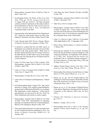- <sup>31.</sup> Memorandum, Assistant Chief of Staff for Chief of Staff, 9 June 1932.
- <sup>32.</sup> See Benjamin Gitlow, The Whole of Their Lives, New York, 1948, pp. 226-30; Congressional Record, 31 August 1949, pp. 12529-32. The latter document contains conclusive statements on this subject made to Howard Rushmore of the New York Journal-American by bonus marcher John T. Pace, self-admitted Communist leader of the BEF.
- 33. Superintendent of the Metropolitan Police Department, D.C. during the initial bonus march was Brig. Gen. Pelham D. Glassford, USA-Ret, USMA Class of 1904.
- <sup>34.</sup> Letter, Special Agent M.H. Purvus, Chicago, Illinois, to Director, Division of Investigation, 28 May 1932.
- <sup>35.</sup> It should be recalled that this first BEF march on Washington was actually the forerunner of several other marches of the same general nature. While some of the later marches did turn out to be of major concern to the MID officials, the BEF affair was by far the largest and the only one requiring the use of Federal troops for eviction purposes.
- <sup>36.</sup> Letter, CG First Corps Area to TAG, 6 January 1938; Memorandum, Assistant Chief of Staff G-2 for Chief of Staff, 5 April 1938.
- <sup>37.</sup> Letter, G-2 Exec to Assistant Chief of Staff G-2 Ninth Corps Area, 21 August 1934.
- <sup>38.</sup> Memorandum, Ch Opns Br to G-2 Exec, June 1936.
- <sup>39.</sup> Letter TAG to CG Panama Canal Department, 12 March 1934.
- <sup>40.</sup> OCS Memorandum dated 2 August 1935. Maj. Taylor had been in charge of the original counterintelligence group formed in MID during World War I to investigate War Department civilian employees. Following his demobilization, he had served in the New York City Police Department and retired as a police captain.
- <sup>41.</sup> Memorandum, Assistant Chief of Staff G-2 for Chief of Staff, 8 June 1938. Responsibility for espionage planning was transferred from the Counterintelligence Branch to the Intelligence Branch in May 1941.
- <sup>42.</sup> These censorship instructions were derived mainly from an AEF booklet that had been published in 1918. See History of Military Censorship, CSGID 314.7, 30 October 1942.
- Letter, Brig. Gen. John T. Bissell, USA-Ret, to OCMH, 16 July 1954.
- 44. Memorandum, Assistant Chief of Staff G-2 for Chief of Staff, 1 December 1939.
- MID 383.4, CFCP, 6 October 1940.
- Memorandum, Assistant Chief of Staff G-2 for Chief of Staff, 28 August 1941. Twelve copies of this plan were also sent to the Director of Naval Intelligence for distribution to the 12 Naval Districts organized within the continental limits of the United States.
- <sup>47.</sup> Letter J. E. Hoover to John J. McCloy, 16 November 1940; Ralph Budd to SW, 12 September 1940.
- <sup>48.</sup> White House Memorandum to Cabinet members, 17 March 1941.
- Following the outbreak of war in Europe, President Roosevelt first proclaimed a national emergency with certain specified limits, on 8 September 1939, and then, on 27 May 1941, declared that the Nation was confronted with an "unlimited national emergency." See Federal Register, IV, (July-Sept 1939), p. 3851 and VI (May 1941), p. 2617.
- 50. Alpheus Thomas Mason, Harlan Fiske Stone: Pillar of the Law, New York, Viking, 1956, pp. 149-151.
- <sup>51.</sup> Memorandum from Attorney General Stone to J. Edgar Hoover, 5/13/24, cited in Mason, op. cit., p. 151.
- 52. Mason, op. cit., pp. 150-152; Donald Johnson, The Challenge to American Freedoms: World War I and the Rise of the American Civil Liberties Union, University of Kentucky Press, 1963, p. 174.
- 53. Mason, op. cit., p. 113. See charges of Illegal Practices of the Justice Department, Hearings before the Senate Committee on the Judiciary, 66th Cong. 3rd Sess,  $(1921).$
- 54. Johnson, The Challenge to American Freedoms, pp. 174-175.
- 55. Baldwin v. Franks, 120 U.S. 678.
- Memorandum from Earl J. Davis to the Attorney General, 6/10/24, cited in Preston, op. cit., pp. 241-242.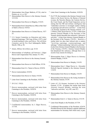- 57. Memorandum from Roger Baldwin, 8/7/24, cited in Preston, op. cit., p. 243.
- <sup>58.</sup> Memorandum from Hoover to the Attorney General,  $12/13/24.$
- <sup>59.</sup> Memorandum from Hoover to Ridgeley, 5/14/25.
- <sup>60.</sup> Memorandum from Colonel Reeves, Office of the Chief of Staff, to Hoover, 9/29/25.
- <sup>61.</sup> Memorandum from Hoover to Colonel Reeves, 10/7/ 25.
- <sup>62.</sup> U.S. Senate Committee on Education and Labor, Industrial Espionage, 75th Cong, 2d Sess. (1937), cited in Jerold Auerbach, Labor and Liberty: The LaFollette Committee and the New Deal, Indianapolis, Bobbs-Merrill, 1966, p. 98.
- <sup>63.</sup> Jensen, *Military Surveillance*, pp. 23-24.
- <sup>64.</sup> Memorandum of telephone call between J. Edgar Hoover and Congressman Fish, January 19, 1931.
- <sup>65.</sup> Memorandum from Hoover to the Attorney General,  $1/2/32$ .
- <sup>66.</sup> Memorandum from Hoover to Field Offices, 9/5/36.
- <sup>67.</sup> Memorandum from E.A. Tamm to Hoover, 8/28/36.
- <sup>68.</sup> Hoover memorandum, 8/24/36.
- <sup>69.</sup> Memorandum from Hoover to Tamm, 9/10/36.
- <sup>70.</sup> Letter from Cummings to the President, 10/20/38.
- $71.28$  U.S.C. 533(3).
- 72. Hoover memorandum, enclosed with letter from Cummings to the President, 10/20/38.
- 73. Hoover memorandum, enclosed with letter from Cummings to the President, 10/20/38.
- 74. Hoover memorandum, enclosed with letter from Cummings to the President, 10/20/38.
- 75. Confidential memorandum, by J. Edgar Hoover,  $11/7/38.$
- <sup>76.</sup> Hoover memorandum, enclosed with letter from Cummings to the President, 10/20/38.
- 77. Letter from Cummings to the President, 10/20/38.
- <sup>78</sup> On 2/7/39, the Assistant to the Attorney General wrote letters to the Secret Service, the Bureau of Internal revenue, the Narcotics Bureau, the Customs Service, the Coast Guard, and the Postal Inspection service stating that the FBI and military intelligence had "undertaken activities to investigate matters relating to espionage and subversive activities." (Letter from J. B. Keenan, Assistant to the Attorney General, to F. J. Wilson, Chief, Secret Service, 2/7/39.) a letter from attorney General Murphy to the Secretary of the Treasury shortly thereafter also referred to "subversive activities." (Letter from Attorney General Murphy to the Secretary of the Treasury,  $2/16/39$ .) However, a similar letter two days later referred only to matters "involving espionage, counterespionage, and sabotage," without mentioning "subversive activities." (Letter from Attorney General Murphy to the Secretary of the Treasury, 2/18/39.) Attorney General Murphy had abandoned this reference, although there is no record of any reasons for doing so.
- 79. Memorandum from J. Edgar Hoover to Attorney General Murphy, 3/16/39.
- <sup>80.</sup> Memorandum from Hoover to Murphy, 3/16/39.
- Memorandum from J. Edgar Hoover to Alexander Holtzoff, Special Assistant to the Attorney General,  $1/18/39.$
- <sup>82.</sup> Memorandum from Hoover to Murphy, 3/16/39.
- 83. Memorandum from Hoover to the Acting Assistant to the Attorney General, 5/5/39.
- 84. Letter of J. B. Keenan, Assistant to the Attorney General, 2/7/39. (Compare the similar letter from Attorney General Murphy, omitting the term "subversive activities," at p. 401, note 93.)
- 85. Memorandum from Hoover to the Attorney General,  $3/16/39.$
- 86. Memorandum from E. A. Tamm to Hoover, 5/31/39.
- <sup>87.</sup> Letter from Murphy to the President, 6/17/39.
- 88. Confidential Memorandum of the President, 6/26/39. President Roosevelt also dictated a separate additional memorandum for Secretary Hull which read, in part,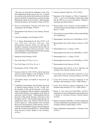"This does not mean that the intelligence work of the State Department should cease in any way. It should be carried on as heretofore but the directors of the three agencies should be constantly kept in touch by the State Department with the work it is doing." (Memorandum from the President to the Secretary of State, 6/26/39.)

- 89. Hoover memorandum, enclosed with letter from Cummings to the President, 10/20/38.
- <sup>90.</sup> Memorandum from Hoover to the Attorney General,  $9/6/39.$
- <sup>91.</sup> Letter from Murphy to the President, 9/6/39.
- <sup>92.</sup> E. A. Tamm, Memoranda for the File, 9/6/39, 11:34 a.m., 12:47 p.m., 2:30 p.m., 6:20 p.m. This memorandum indicates Tamm was told that the President's statement would declare that the FBI was authorized to investigate "subversive activities." There is no explanation for the disparity between this message and the President's actual statement.
- <sup>93.</sup> Statement of the President, 9/6/39.
- 94. New York Times, 9/7/39, p. 8, col. 1.
- 95. New York Times, 10/1/39, p. 38, col. 3.
- Proclamation, 9/8/39, 54 Stat. 2643.
- 97. Executive Order No. 8247, 9/8/39, cited in letter from Attorney General Murphy to the President, 9/12/39, Roosevelt Library, Official File 14-b, Box 14.
- 98. 1939 Public Papers of Franklin D. Roosevelt, pp. 495-496.
- <sup>99.</sup> Confidential memorandum from President Roosevelt to Attorney General Jackson, 5/21/40. In May 1941 the Secretary of War and the Secretary of the Navy urged "a broadening of the investigative responsibility of the Federal Bureau of Investigation in the fields of subversive control of labor." (Memorandum from the Secretary of War and the Secretary of the Navy to the President, 5/29/41.) The President replied that he was sending their letter to the Attorney General with my General approval. (Memorandum from President Roosevelt to the Secretaries of War and Navy, 6/4/41.) Attorney General Biddle's response cited investigations under the recently enacted Smith Act. (Memorandum from Attorney General Biddle to the President,  $6/23/41.$
- <sup>100.</sup> Attorney General's Order No. 3732, 9/25/42.
- <sup>101.</sup> Statement of the President on "Police Cooperation," 1/8/43. A note in the President's handwriting added that the FBI was to receive information "relating to espionage and related matters."
- 102. Memorandum from Attorney General Biddle to Assistant Attorney General Hugh Cox and FBI Director Hoover, 7/16/43.
- <sup>103.</sup> The enclosure is not provided as it did not add anything of CI significance.
- <sup>104</sup>. Memorandum from Hoover to Field Offices, 9/2/39.
- 105. Memorandum from Clyde Tolson to Hoover, 10/30/ 39.
- 106. Memorandum for E. A. Tamm, 11/9/39.
- <sup>107</sup>. Memorandum from Hoover to Field Offices, 12/6/39.
- <sup>108.</sup> Memorandum for E. A. Tamm, 12/2/39.
- <sup>109.</sup> Memorandum from Hoover to Field Offices, 6/15/40.
- <sup>110</sup>. Memorandum for the Director, 8/19/40.
- <sup>111.</sup> Memorandum from Hoover to M. F. McGuire, the Assistant to the Attorney General, 8/21/40.
- <sup>112.</sup> Proceedings of the Federal-State Conference on Law Enforcement Problems of National Defense, 8/5-6/40.
- <sup>113.</sup> Letter from Attorney General Cummings to the President (and enclosure), 1/30/37. (FDR Library.)
- <sup>114</sup>. Letter from Attorney general Cummings to the President (and enclosure), 8/13/37. (FDR Library.)
- <sup>115.</sup> Report of New York City Field Office, 10/22/41, summarized in Justice Department memorandum from s. Brodie to Assistant Attorney General Quinn,  $10/10/47$ .
- <sup>116.</sup> Report of Chicago Field Office, 12/29/44, summarized in Justice Department memorandum from S. Brodie to Assistant Attorney General Quinn, 10/9/47.
- Justice Department memorandum re Christian Front,  $10/28/41$ .